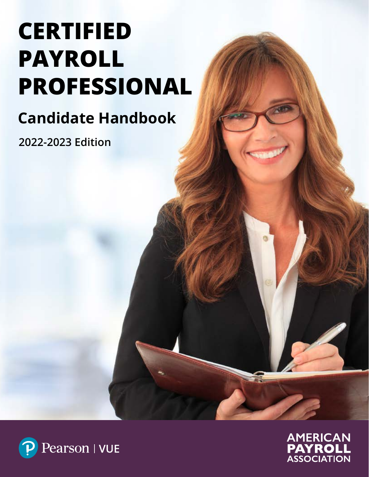# **CERTIFIED PAYROLL PROFESSIONAL**

## **Candidate Handbook**

**2022-2023 Edition**



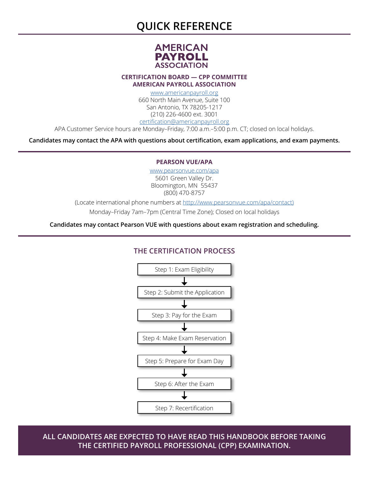### **QUICK REFERENCE**



**CERTIFICATION BOARD — CPP COMMITTEE AMERICAN PAYROLL ASSOCIATION**

> [www.americanpayroll.org](http://www.americanpayroll.org) 660 North Main Avenue, Suite 100 San Antonio, TX 78205-1217 (210) 226-4600 ext. 3001 [certification@americanpayroll.org](mailto:certification%40americanpayroll.org?subject=)

APA Customer Service hours are Monday–Friday, 7:00 a.m.–5:00 p.m. CT; closed on local holidays.

**Candidates may contact the APA with questions about certification, exam applications, and exam payments.**

#### **PEARSON VUE/APA**

[www.pearsonvue.com/apa](http://www.pearsonvue.com/apa) 5601 Green Valley Dr. Bloomington, MN 55437 (800) 470-8757

(Locate international phone numbers at [http://www.pearsonvue.com/apa/contact\)](http://www.pearsonvue.com/apa/contact))

Monday–Friday 7am–7pm (Central Time Zone); Closed on local holidays

**Candidates may contact Pearson VUE with questions about exam registration and scheduling.**

#### **THE CERTIFICATION PROCESS**



**ALL CANDIDATES ARE EXPECTED TO HAVE READ THIS HANDBOOK BEFORE TAKING THE CERTIFIED PAYROLL PROFESSIONAL (CPP) EXAMINATION.**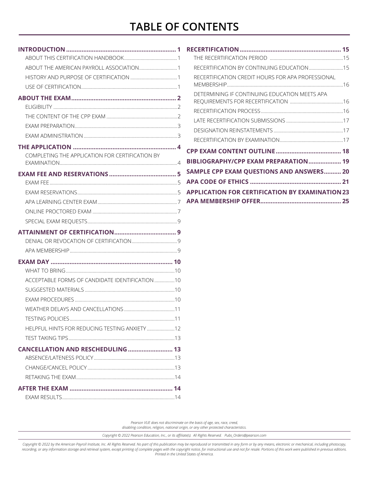### **TABLE OF CONTENTS**

| COMPLETING THE APPLICATION FOR CERTIFICATION BY |  |
|-------------------------------------------------|--|
|                                                 |  |
|                                                 |  |
|                                                 |  |
|                                                 |  |
|                                                 |  |
|                                                 |  |
|                                                 |  |
|                                                 |  |
|                                                 |  |
|                                                 |  |
|                                                 |  |
| ACCEPTABLE FORMS OF CANDIDATE IDENTIFICATION 10 |  |
|                                                 |  |
|                                                 |  |
|                                                 |  |
|                                                 |  |
| HELPFUL HINTS FOR REDUCING TESTING ANXIETY  12  |  |
|                                                 |  |
| CANCELLATION AND RESCHEDULING  13               |  |
|                                                 |  |
|                                                 |  |
|                                                 |  |
|                                                 |  |
|                                                 |  |

| RECERTIFICATION CREDIT HOURS FOR APA PROFESSIONAL      |  |
|--------------------------------------------------------|--|
| DETERMINING IF CONTINUING EDUCATION MEETS APA          |  |
|                                                        |  |
|                                                        |  |
|                                                        |  |
|                                                        |  |
|                                                        |  |
| BIBLIOGRAPHY/CPP EXAM PREPARATION 19                   |  |
| SAMPLE CPP EXAM QUESTIONS AND ANSWERS 20               |  |
|                                                        |  |
| <b>APPLICATION FOR CERTIFICATION BY EXAMINATION 23</b> |  |
|                                                        |  |

*Pearson VUE does not discriminate on the basis of age, sex, race, creed, disabling condition, religion, national origin, or any other protected characteristics.*

*Copyright © 2022 Pearson Education, Inc., or its affiliate(s). All Rights Reserved. Pubs\_Orders@pearson.com*

*Copyright © 2022 by the American Payroll Institute, Inc. All Rights Reserved. No part of this publication may be reproduced or transmitted in any form or by any means, electronic or mechanical, including photocopy,*  recording, or any information storage and retrieval system, except printing of complete pages with the copyright notice, for instructional use and not for resale. Portions of this work were published in previous editions.<br>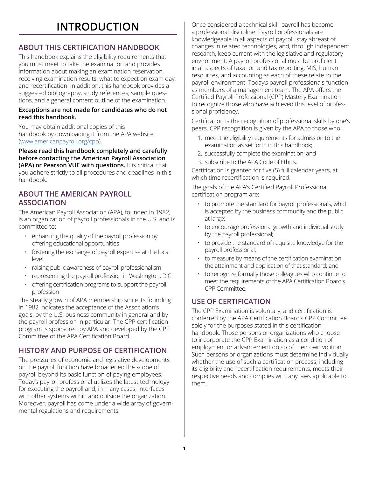### **INTRODUCTION**

#### <span id="page-3-0"></span>**ABOUT THIS CERTIFICATION HANDBOOK**

This handbook explains the eligibility requirements that you must meet to take the examination and provides information about making an examination reservation, receiving examination results, what to expect on exam day, and recertification. In addition, this handbook provides a suggested bibliography, study references, sample questions, and a general content outline of the examination.

#### **Exceptions are not made for candidates who do not read this handbook.**

You may obtain additional copies of this handbook by downloading it from the APA website ([www.americanpayroll.org/cpp](http://www.americanpayroll.org/cpp)).

**Please read this handbook completely and carefully before contacting the American Payroll Association (APA) or Pearson VUE with questions.** It is critical that you adhere strictly to all procedures and deadlines in this handbook.

#### **ABOUT THE AMERICAN PAYROLL ASSOCIATION**

The American Payroll Association (APA), founded in 1982, is an organization of payroll professionals in the U.S. and is committed to:

- enhancing the quality of the payroll profession by offering educational opportunities
- fostering the exchange of payroll expertise at the local level
- raising public awareness of payroll professionalism
- representing the payroll profession in Washington, D.C.
- offering certification programs to support the payroll profession

The steady growth of APA membership since its founding in 1982 indicates the acceptance of the Association's goals, by the U.S. business community in general and by the payroll profession in particular. The CPP certification program is sponsored by APA and developed by the CPP Committee of the APA Certification Board.

#### **HISTORY AND PURPOSE OF CERTIFICATION**

The pressures of economic and legislative developments on the payroll function have broadened the scope of payroll beyond its basic function of paying employees. Today's payroll professional utilizes the latest technology for executing the payroll and, in many cases, interfaces with other systems within and outside the organization. Moreover, payroll has come under a wide array of governmental regulations and requirements.

Once considered a technical skill, payroll has become a professional discipline. Payroll professionals are knowledgeable in all aspects of payroll, stay abreast of changes in related technologies, and, through independent research, keep current with the legislative and regulatory environment. A payroll professional must be proficient in all aspects of taxation and tax reporting, MIS, human resources, and accounting as each of these relate to the payroll environment. Today's payroll professionals function as members of a management team. The APA offers the Certified Payroll Professional (CPP) Mastery Examination to recognize those who have achieved this level of professional proficiency.

Certification is the recognition of professional skills by one's peers. CPP recognition is given by the APA to those who:

- 1. meet the eligibility requirements for admission to the examination as set forth in this handbook;
- 2. successfully complete the examination; and
- 3. subscribe to the APA Code of Ethics.

Certification is granted for five (5) full calendar years, at which time recertification is required.

The goals of the APA's Certified Payroll Professional certification program are:

- to promote the standard for payroll professionals, which is accepted by the business community and the public at large;
- to encourage professional growth and individual study by the payroll professional;
- to provide the standard of requisite knowledge for the payroll professional;
- to measure by means of the certification examination the attainment and application of that standard; and
- to recognize formally those colleagues who continue to meet the requirements of the APA Certification Board's CPP Committee.

#### **USE OF CERTIFICATION**

The CPP Examination is voluntary, and certification is conferred by the APA Certification Board's CPP Committee solely for the purposes stated in this certification handbook. Those persons or organizations who choose to incorporate the CPP Examination as a condition of employment or advancement do so of their own volition. Such persons or organizations must determine individually whether the use of such a certification process, including its eligibility and recertification requirements, meets their respective needs and complies with any laws applicable to them.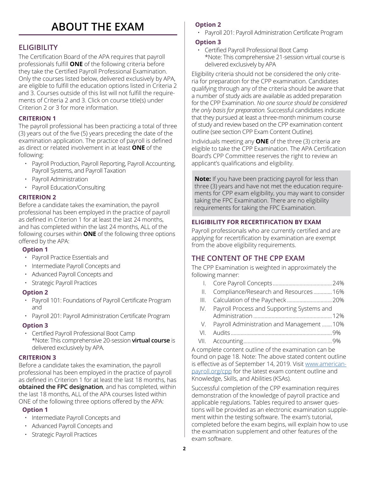### **ABOUT THE EXAM**

#### <span id="page-4-0"></span>**ELIGIBILITY**

The Certification Board of the APA requires that payroll professionals fulfill **ONE** of the following criteria before they take the Certified Payroll Professional Examination. Only the courses listed below, delivered exclusively by APA, are eligible to fulfill the education options listed in Criteria 2 and 3. Courses outside of this list will not fulfill the requirements of Criteria 2 and 3. Click on course title(s) under Criterion 2 or 3 for more information.

#### **CRITERION 1**

The payroll professional has been practicing a total of three (3) years out of the five (5) years preceding the date of the examination application. The practice of payroll is defined as direct or related involvement in at least **ONE** of the following:

- Payroll Production, Payroll Reporting, Payroll Accounting, Payroll Systems, and Payroll Taxation
- Payroll Administration
- Payroll Education/Consulting

#### **CRITERION 2**

Before a candidate takes the examination, the payroll professional has been employed in the practice of payroll as defined in Criterion 1 for at least the last 24 months, and has completed within the last 24 months, ALL of the following courses within **ONE** of the following three options offered by the APA:

#### **Option 1**

- [Payroll Practice Essentials](https://ebiz.americanpayroll.org/ebusiness/Education/ViewCourse.aspx?CourseID=54) and
- [Intermediate Payroll Concepts](https://ebiz.americanpayroll.org/ebusiness/Education/ViewCourse.aspx?CourseID=42) and
- [Advanced Payroll Concepts](https://ebiz.americanpayroll.org/ebusiness/Education/ViewCourse.aspx?CourseID=11) and
- [Strategic Payroll Practices](https://ebiz.americanpayroll.org/ebusiness/Education/ViewCourse.aspx?CourseID=69)

#### **Option 2**

- Payroll 101: Foundations of Payroll Certificate Program and
- Payroll 201: Payroll Administration Certificate Program

#### **Option 3**

• [Certified Payroll Professional Boot Camp](http://www.americanpayroll.org/course-conf/CPP-Bootcamp/) \*Note: This comprehensive 20-session **virtual course** is delivered exclusively by APA.

#### **CRITERION 3**

Before a candidate takes the examination, the payroll professional has been employed in the practice of payroll as defined in Criterion 1 for at least the last 18 months, has **obtained the FPC designation**, and has completed, within the last 18 months, ALL of the APA courses listed within ONE of the following three options offered by the APA:

#### **Option 1**

- [Intermediate Payroll Concepts](https://ebiz.americanpayroll.org/ebusiness/Education/ViewCourse.aspx?CourseID=42) and
- [Advanced Payroll Concepts](https://ebiz.americanpayroll.org/ebusiness/Education/ViewCourse.aspx?CourseID=11) and
- [Strategic Payroll Practices](https://ebiz.americanpayroll.org/ebusiness/Education/ViewCourse.aspx?CourseID=69)

#### **Option 2**

• Payroll 201: Payroll Administration Certificate Program

#### **Option 3**

• [Certified Payroll Professional Boot Camp](http://www.americanpayroll.org/course-conf/CPP-Bootcamp/) \*Note: This comprehensive 21-session virtual course is delivered exclusively by APA

Eligibility criteria should not be considered the only criteria for preparation for the CPP examination. Candidates qualifying through any of the criteria should be aware that a number of study aids are available as added preparation for the CPP Examination. *No one source should be considered the only basis for preparation.* Successful candidates indicate that they pursued at least a three-month minimum course of study and review based on the CPP examination content outline (see section CPP Exam Content Outline).

Individuals meeting any **ONE** of the three (3) criteria are eligible to take the CPP Examination. The APA Certification Board's CPP Committee reserves the right to review an applicant's qualifications and eligibility.

**Note:** If you have been practicing payroll for less than three (3) years and have not met the education requirements for CPP exam eligibility, you may want to consider taking the FPC Examination. There are no eligibility requirements for taking the FPC Examination.

#### **ELIGIBILITY FOR RECERTIFICATION BY EXAM**

Payroll professionals who are currently certified and are applying for recertification by examination are exempt from the above eligibility requirements.

#### **THE CONTENT OF THE CPP EXAM**

The CPP Examination is weighted in approximately the following manner:

- I. Core Payroll Concepts ..........................................24%
- II. Compliance/Research and Resources .............16%
- III. Calculation of the Paycheck ................................20%
- IV. Payroll Process and Supporting Systems and Administration........................................................12%
- V. Payroll Administration and Management .......10%
- VI. Audits ........................................................................9%
- VII. Accounting...............................................................9%

A complete content outline of the examination can be found on page 18. Note: The above stated content outline is effective as of September 14, 2019. Visit [www.american](http://www.americanpayroll.org/cpp)[payroll.org/cpp](http://www.americanpayroll.org/cpp) for the latest exam content outline and Knowledge, Skills, and Abilities (KSAs).

Successful completion of the CPP examination requires demonstration of the knowledge of payroll practice and applicable regulations. Tables required to answer questions will be provided as an electronic examination supplement within the testing software. The exam's tutorial, completed before the exam begins, will explain how to use the examination supplement and other features of the exam software.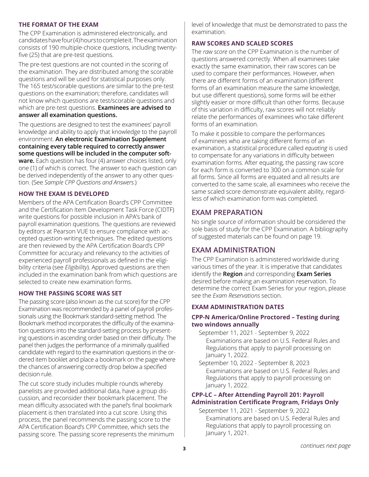#### <span id="page-5-0"></span>**THE FORMAT OF THE EXAM**

The CPP Examination is administered electronically, and candidates have four (4) hours to complete it. The examination consists of 190 multiple-choice questions, including twentyfive (25) that are pre-test questions.

The pre-test questions are not counted in the scoring of the examination. They are distributed among the scorable questions and will be used for statistical purposes only. The 165 test/scorable questions are similar to the pre-test questions on the examination; therefore, candidates will not know which questions are test/scorable questions and which are pre-test questions. **Examinees are advised to answer all examination questions.**

The questions are designed to test the examinees' payroll knowledge and ability to apply that knowledge to the payroll environment. **An electronic Examination Supplement containing every table required to correctly answer some questions will be included in the computer software.** Each question has four (4) answer choices listed, only one (1) of which is correct. The answer to each question can be derived independently of the answer to any other question. (See *Sample CPP Questions and Answers*.)

#### **HOW THE EXAM IS DEVELOPED**

Members of the APA Certification Board's CPP Committee and the Certification Item Development Task Force (CIDTF) write questions for possible inclusion in APA's bank of payroll examination questions. The questions are reviewed by editors at Pearson VUE to ensure compliance with accepted question-writing techniques. The edited questions are then reviewed by the APA Certification Board's CPP Committee for accuracy and relevancy to the activities of experienced payroll professionals as defined in the eligibility criteria (see *Eligibility*). Approved questions are then included in the examination bank from which questions are selected to create new examination forms.

#### **HOW THE PASSING SCORE WAS SET**

The passing score (also known as the cut score) for the CPP Examination was recommended by a panel of payroll professionals using the Bookmark standard-setting method. The Bookmark method incorporates the difficulty of the examination questions into the standard-setting process by presenting questions in ascending order based on their difficulty. The panel then judges the performance of a minimally qualified candidate with regard to the examination questions in the ordered item booklet and place a bookmark on the page where the chances of answering correctly drop below a specified decision rule.

The cut score study includes multiple rounds whereby panelists are provided additional data, have a group discussion, and reconsider their bookmark placement. The mean difficulty associated with the panel's final bookmark placement is then translated into a cut score. Using this process, the panel recommends the passing score to the APA Certification Board's CPP Committee, which sets the passing score. The passing score represents the minimum level of knowledge that must be demonstrated to pass the examination.

#### **RAW SCORES AND SCALED SCORES**

The *raw score* on the CPP Examination is the number of questions answered correctly. When all examinees take exactly the same examination, their raw scores can be used to compare their performances. However, when there are different forms of an examination (different forms of an examination measure the same knowledge, but use different questions), some forms will be either slightly easier or more difficult than other forms. Because of this variation in difficulty, raw scores will not reliably relate the performances of examinees who take different forms of an examination.

To make it possible to compare the performances of examinees who are taking different forms of an examination, a statistical procedure called *equating* is used to compensate for any variations in difficulty between examination forms. After equating, the passing raw score for each form is converted to 300 on a common scale for all forms. Since all forms are equated and all results are converted to the same scale, all examinees who receive the same scaled score demonstrate equivalent ability, regardless of which examination form was completed.

#### **EXAM PREPARATION**

No single source of information should be considered the sole basis of study for the CPP Examination. A bibliography of suggested materials can be found on page 19.

#### **EXAM ADMINISTRATION**

The CPP Examination is administered worldwide during various times of the year. It is imperative that candidates identify the **Region** and corresponding **Exam Series** desired before making an examination reservation. To determine the correct Exam Series for your region, please see the *Exam Reservations* section.

#### **EXAM ADMINISTRATION DATES**

#### **CPP-N America/Online Proctored – Testing during two windows annually**

September 11, 2021 - September 9, 2022 Examinations are based on U.S. Federal Rules and Regulations that apply to payroll processing on January 1, 2022.

September 10, 2022 - September 8, 2023 Examinations are based on U.S. Federal Rules and Regulations that apply to payroll processing on January 1, 2022.

#### **CPP-LC – After Attending Payroll 201: Payroll Administration Certificate Program, Fridays Only**

September 11, 2021 - September 9, 2022 Examinations are based on U.S. Federal Rules and Regulations that apply to payroll processing on January 1, 2021.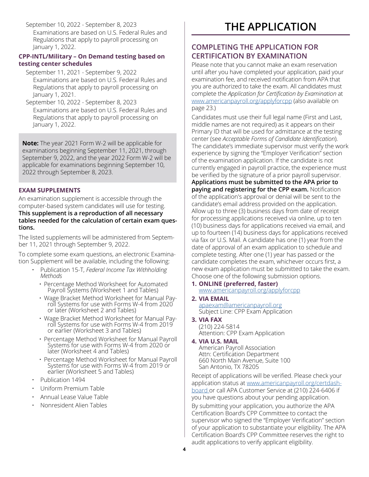<span id="page-6-0"></span>September 10, 2022 - September 8, 2023 Examinations are based on U.S. Federal Rules and Regulations that apply to payroll processing on January 1, 2022.

#### **CPP-INTL/Military – On Demand testing based on testing center schedules**

September 11, 2021 - September 9, 2022 Examinations are based on U.S. Federal Rules and Regulations that apply to payroll processing on January 1, 2021.

September 10, 2022 - September 8, 2023 Examinations are based on U.S. Federal Rules and Regulations that apply to payroll processing on January 1, 2022.

**Note:** The year 2021 Form W-2 will be applicable for examinations beginning September 11, 2021, through September 9, 2022, and the year 2022 Form W-2 will be applicable for examinations beginning September 10, 2022 through September 8, 2023.

#### **EXAM SUPPLEMENTS**

An examination supplement is accessible through the computer-based system candidates will use for testing. **This supplement is a reproduction of all necessary tables needed for the calculation of certain exam questions.**

The listed supplements will be administered from September 11, 2021 through September 9, 2022.

To complete some exam questions, an electronic Examination Supplement will be available, including the following:

- Publication 15-T, *Federal Income Tax Withholding Methods*
	- Percentage Method Worksheet for Automated Payroll Systems (Worksheet 1 and Tables)
	- Wage Bracket Method Worksheet for Manual Pay- roll Systems for use with Forms W-4 from 2020 or later (Worksheet 2 and Tables)
	- Wage Bracket Method Worksheet for Manual Payroll Systems for use with Forms W-4 from 2019 or earlier (Worksheet 3 and Tables)
	- Percentage Method Worksheet for Manual Payroll Systems for use with Forms W-4 from 2020 or later (Worksheet 4 and Tables)
	- Percentage Method Worksheet for Manual Payroll Systems for use with Forms W-4 from 2019 or earlier (Worksheet 5 and Tables)
- Publication 1494
- Uniform Premium Table
- Annual Lease Value Table
- Nonresident Alien Tables

### **THE APPLICATION**

#### **COMPLETING THE APPLICATION FOR CERTIFICATION BY EXAMINATION**

Please note that you cannot make an exam reservation until after you have completed your application, paid your examination fee, and received notification from APA that you are authorized to take the exam. All candidates must complete the *Application for Certification by Examination* at [www.americanpayroll.org/applyforcpp](http://www.americanpayroll.org/applyforcpp) (also available on page 23.)

Candidates must use their full legal name (First and Last, middle names are not required) as it appears on their Primary ID that will be used for admittance at the testing center (see *Acceptable Forms of Candidate Identification*). The candidate's immediate supervisor must verify the work experience by signing the "Employer Verification" section of the examination application. If the candidate is not currently engaged in payroll practice, the experience must be verified by the signature of a prior payroll supervisor.

**Applications must be submitted to the APA prior to paying and registering for the CPP exam.** Notification of the application's approval or denial will be sent to the candidate's email address provided on the application. Allow up to three (3) business days from date of receipt for processing applications received via online, up to ten (10) business days for applications received via email, and up to fourteen (14) business days for applications received via fax or U.S. Mail. A candidate has one (1) year from the date of approval of an exam application to schedule and complete testing. After one (1) year has passed or the candidate completes the exam, whichever occurs first, a new exam application must be submitted to take the exam. Choose one of the following submission options.

- **1. ONLINE (preferred, faster)** [www.americanpayroll.org/applyforcpp](http://www.americanpayroll.org/applyforcpp)
- **2. VIA EMAIL** [apaexam@americanpayroll.org](mailto:apaexam%40americanpayroll.org?subject=) Subject Line: CPP Exam Application

#### **3. VIA FAX** (210) 224-5814 Attention: CPP Exam Application

#### **4. VIA U.S. MAIL**

American Payroll Association Attn: Certification Department 660 North Main Avenue, Suite 100 San Antonio, TX 78205

Receipt of applications will be verified. Please check your application status at [www.americanpayroll.org/certdash](http://www.americanpayroll.org/certdashboard)[board](http://www.americanpayroll.org/certdashboard) or call APA Customer Service at (210) 224-6406 if you have questions about your pending application.

By submitting your application, you authorize the APA Certification Board's CPP Committee to contact the supervisor who signed the "Employer Verification" section of your application to substantiate your eligibility. The APA Certification Board's CPP Committee reserves the right to audit applications to verify applicant eligibility.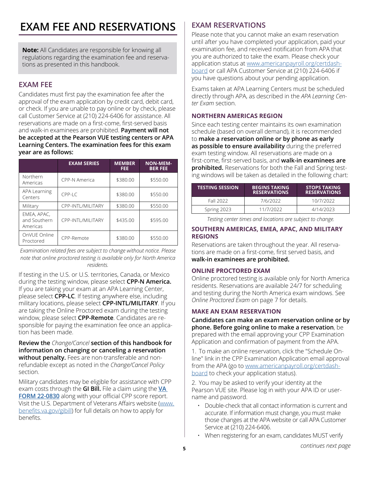### <span id="page-7-0"></span>**EXAM FEE AND RESERVATIONS**

**Note:** All Candidates are responsible for knowing all regulations regarding the examination fee and reservations as presented in this handbook.

#### **EXAM FEE**

Candidates must first pay the examination fee after the approval of the exam application by credit card, debit card, or check. If you are unable to pay online or by check, please call Customer Service at (210) 224-6406 for assistance.All reservations are made on a first-come, first-served basis and walk-in examinees are prohibited. **Payment will not be accepted at the Pearson VUE testing centers or APA Learning Centers. The examination fees for this exam year are as follows:**

|                                         | <b>EXAM SERIES</b>         | <b>MEMBER</b><br>FEE | <b>NON-MEM-</b><br><b>BER FEE</b> |
|-----------------------------------------|----------------------------|----------------------|-----------------------------------|
| Northern<br>Americas                    | CPP-N America              | \$380.00             | \$550.00                          |
| <b>APA Learning</b><br>Centers          | $CPP-I$                    | \$380.00             | \$550.00                          |
| Military                                | CPP-INTL/MILITARY          | \$380.00             | \$550.00                          |
| EMEA, APAC,<br>and Southern<br>Americas | <b>CPP-INTI /MII ITARY</b> | \$435.00             | \$595.00                          |
| OnVUE Online<br>Proctored               | CPP-Remote                 | \$380.00             | \$550.00                          |

*Examination related fees are subject to change without notice. Please note that online proctored testing is available only for North America residents.* 

If testing in the U.S. or U.S. territories, Canada, or Mexico during the testing window, please select **CPP-N America.** If you are taking your exam at an APA Learning Center, please select **CPP-LC***.* If testing anywhere else, including military locations, please select **CPP-INTL/MILITARY***.* If you are taking the Online Proctored exam during the testing window, please select **CPP-Remote**. Candidates are responsible for paying the examination fee once an application has been made.

**Review the** *Change/Cancel* **section of this handbook for information on changing or canceling a reservation without penalty.** Fees are non-transferable and nonrefundable except as noted in the *Change/Cancel Policy* section.

Military candidates may be eligible for assistance with CPP exam costs through the **GI Bill.** File a claim using the **[VA](https://www.vba.va.gov/pubs/forms/VBA-22-0803-ARE.pdf)  [FORM 22-0830](https://www.vba.va.gov/pubs/forms/VBA-22-0803-ARE.pdf)** along with your official CPP score report. Visit the U.S. Department of Veterans Affairs website ([www.](http://www.benefits.va.gov/gibill) [benefits.va.gov/gibill](http://www.benefits.va.gov/gibill)) for full details on how to apply for benefits.

#### **EXAM RESERVATIONS**

Please note that you cannot make an exam reservation until after you have completed your application, paid your examination fee, and received notification from APA that you are authorized to take the exam. Please check your application status at [www.americanpayroll.org/certdash](http://www.americanpayroll.org/certdashboard)[board](http://www.americanpayroll.org/certdashboard) or call APA Customer Service at (210) 224-6406 if you have questions about your pending application.

Exams taken at APA Learning Centers must be scheduled directly through APA, as described in the *APA Learning Center Exam* section.

#### **NORTHERN AMERICAS REGION**

Since each testing center maintains its own examination schedule (based on overall demand), it is recommended to **make a reservation online or by phone as early as possible to ensure availability** during the preferred exam testing window. All reservations are made on a first-come, first-served basis, and **walk-in examinees are prohibited.** Reservations for both the Fall and Spring testing windows will be taken as detailed in the following chart:

| <b>TESTING SESSION</b> | <b>BEGINS TAKING</b><br><b>RESERVATIONS</b> | <b>STOPS TAKING</b><br><b>RESERVATIONS</b> |
|------------------------|---------------------------------------------|--------------------------------------------|
| Fall 2022              | 7/6/2022                                    | 10/7/2022                                  |
| Spring 2023            | 11/7/2022                                   | 4/14/2023                                  |

*Testing center times and locations are subject to change.*

#### **SOUTHERN AMERICAS, EMEA, APAC, AND MILITARY REGIONS**

Reservations are taken throughout the year. All reservations are made on a first-come, first served basis, and **walk-in examinees are prohibited.**

#### **ONLINE PROCTORED EXAM**

Online proctored testing is available only for North America residents. Reservations are available 24/7 for scheduling and testing during the North America exam windows. See *Online Proctored Exam* on page 7 for details.

#### **MAKE AN EXAM RESERVATION**

**Candidates can make an exam reservation online or by phone. Before going online to make a reservation**, be prepared with the email approving your CPP Examination Application and confirmation of payment from the APA.

1. To make an online reservation, click the "Schedule Online" link in the CPP Examination Application email approval from the APA (go to [www.americanpayroll.org/certdash](http://www.americanpayroll.org/certdashboard)[board](http://www.americanpayroll.org/certdashboard) to check your application status).

2. You may be asked to verify your identity at the Pearson VUE site. Please log in with your APA ID or username and password.

- Double-check that all contact information is current and accurate. If information must change, you must make those changes at the APA website or call APA Customer Service at (210) 224-6406.
- When registering for an exam, candidates MUST verify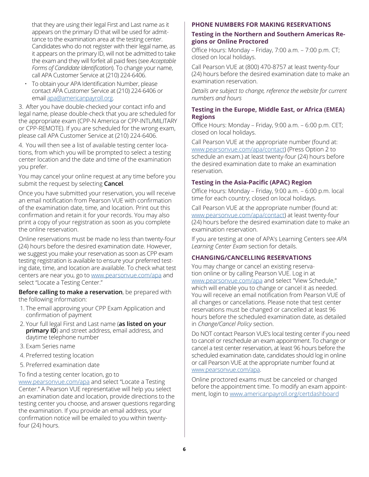that they are using their legal First and Last name as it appears on the primary ID that will be used for admittance to the examination area at the testing center. Candidates who do not register with their legal name, as it appears on the primary ID, will not be admitted to take the exam and they will forfeit all paid fees (see *Acceptable Forms of Candidate Identification*). To change your name, call APA Customer Service at (210) 224-6406.

• To obtain your APA Identification Number, please contact APA Customer Service at (210) 224-6406 or email [apa@americanpayroll.org](mailto:apa%40americanpayroll.org?subject=).

3. After you have double-checked your contact info and legal name, please double-check that you are scheduled for the appropriate exam (CPP-N America or CPP-INTL/MILITARY or CPP-REMOTE). If you are scheduled for the wrong exam, please call APA Customer Service at (210) 224-6406.

4. You will then see a list of available testing center locations, from which you will be prompted to select a testing center location and the date and time of the examination you prefer.

You may cancel your online request at any time before you submit the request by selecting **Cancel***.*

Once you have submitted your reservation, you will receive an email notification from Pearson VUE with confirmation of the examination date, time, and location. Print out this confirmation and retain it for your records. You may also print a copy of your registration as soon as you complete the online reservation.

Online reservations must be made no less than twenty-four (24) hours before the desired examination date. However, we suggest you make your reservation as soon as CPP exam testing registration is available to ensure your preferred testing date, time, and location are available. To check what test centers are near you, go to [www.pearsonvue.com/apa](http://www.pearsonvue.com/apa) and select "Locate a Testing Center."

**Before calling to make a reservation**, be prepared with the following information:

- 1. The email approving your CPP Exam Application and confirmation of payment
- 2. Your full legal First and Last name (**as listed on your primary ID**) and street address, email address, and daytime telephone number
- 3. Exam Series name
- 4. Preferred testing location
- 5. Preferred examination date

To find a testing center location, go to [www.pearsonvue.com/apa](http://www.pearsonvue.com/apa) and select "Locate a Testing Center." A Pearson VUE representative will help you select an examination date and location, provide directions to the testing center you choose, and answer questions regarding the examination. If you provide an email address, your confirmation notice will be emailed to you within twentyfour (24) hours.

#### **PHONE NUMBERS FOR MAKING RESERVATIONS**

#### **Testing in the Northern and Southern Americas Regions or Online Proctored**

Office Hours: Monday – Friday, 7:00 a.m. – 7:00 p.m. CT; closed on local holidays.

Call Pearson VUE at (800) 470-8757 at least twenty-four (24) hours before the desired examination date to make an examination reservation.

*Details are subject to change, reference the website for current numbers and hours*

#### **Testing in the Europe, Middle East, or Africa (EMEA) Regions**

Office Hours: Monday – Friday, 9:00 a.m. – 6:00 p.m. CET; closed on local holidays.

Call Pearson VUE at the appropriate number (found at: [www.pearsonvue.com/apa/contact](http://www.pearsonvue.com/apa/contact)) (Press Option 2 to schedule an exam.) at least twenty-four (24) hours before the desired examination date to make an examination reservation.

#### **Testing in the Asia-Pacific (APAC) Region**

Office Hours: Monday – Friday, 9:00 a.m. – 6:00 p.m. local time for each country; closed on local holidays.

Call Pearson VUE at the appropriate number (found at: [www.pearsonvue.com/apa/contact](http://www.pearsonvue.com/apa/contact)) at least twenty-four (24) hours before the desired examination date to make an examination reservation.

If you are testing at one of APA's Learning Centers see *APA Learning Center Exam* section for details.

#### **CHANGING/CANCELLING RESERVATIONS**

You may change or cancel an existing reservation online or by calling Pearson VUE. Log in at [www.pearsonvue.com/apa](http://www.pearsonvue.com/apa) and select "View Schedule," which will enable you to change or cancel it as needed. You will receive an email notification from Pearson VUE of all changes or cancellations. Please note that test center reservations must be changed or cancelled at least 96 hours before the scheduled examination date, as detailed in *Change/Cancel Policy* section.

Do NOT contact Pearson VUE's local testing center if you need to cancel or reschedule an exam appointment. To change or cancel a test center reservation, at least 96 hours before the scheduled examination date, candidates should log in online or call Pearson VUE at the appropriate number found at [www.pearsonvue.com/apa](http://www.pearsonvue.com/apa).

Online proctored exams must be canceled or changed before the appointment time. To modify an exam appointment, login to [www.americanpayroll.org/certdashboard](http://www.americanpayroll.org/certdashboard)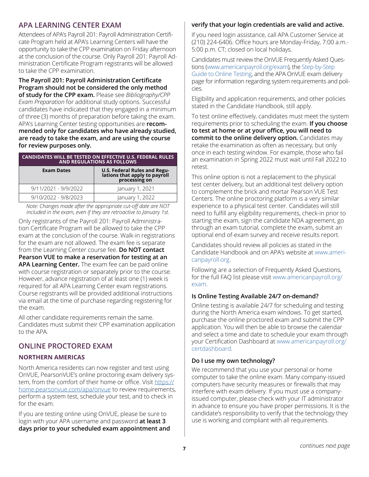#### <span id="page-9-0"></span>**APA LEARNING CENTER EXAM**

Attendees of APA's Payroll 201: Payroll Administration Certificate Program held at APA's Learning Centers will have the opportunity to take the CPP examination on Friday afternoon at the conclusion of the course. Only Payroll 201: Payroll Administration Certificate Program registrants will be allowed to take the CPP examination.

**The Payroll 201: Payroll Administration Certificate Program should not be considered the only method of study for the CPP exam.** Please see *Bibliography/CPP Exam Preparation* for additional study options. Successful candidates have indicated that they engaged in a minimum of three (3) months of preparation before taking the exam. APA's Learning Center testing opportunities are **recommended only for candidates who have already studied, are ready to take the exam, and are using the course for review purposes only.**

|                        | <b>CANDIDATES WILL BE TESTED ON EFFECTIVE U.S. FEDERAL RULES</b><br><b>AND REGULATIONS AS FOLLOWS</b> |
|------------------------|-------------------------------------------------------------------------------------------------------|
| <b>Exam Dates</b>      | <b>U.S. Federal Rules and Regulations that apply to payroll processing on</b>                         |
| $9/11/2021 - 9/9/2022$ | January 1, 2021                                                                                       |
| 9/10/2022 - 9/8/2023   | January 1, 2022                                                                                       |

*Note: Changes made after the appropriate cut-off date are NOT included in the exam, even if they are retroactive to January 1st.*

Only registrants of the Payroll 201: Payroll Administration Certificate Program will be allowed to take the CPP exam at the conclusion of the course. Walk-in registrations for the exam are not allowed. The exam fee is separate from the Learning Center course fee. **Do NOT contact Pearson VUE to make a reservation for testing at an APA Learning Center.** The exam fee can be paid online with course registration or separately prior to the course. However, advance registration of at least one (1) week is required for all APA Learning Center exam registrations. Course registrants will be provided additional instructions via email at the time of purchase regarding registering for the exam.

All other candidate requirements remain the same. Candidates must submit their CPP examination application to the APA.

#### **ONLINE PROCTORED EXAM**

#### **NORTHERN AMERICAS**

North America residents can now register and test using OnVUE, PearsonVUE's online proctoring exam delivery system, from the comfort of their home or office. Visit [https://](https://home.pearsonvue.com/apa/onvue) [home.pearsonvue.com/apa/onvue](https://home.pearsonvue.com/apa/onvue) to review requirements, perform a system test, schedule your test, and to check in for the exam.

If you are testing online using OnVUE, please be sure to login with your APA username and password **at least 3 days prior to your scheduled exam appointment and** 

#### **verify that your login credentials are valid and active.**

If you need login assistance, call APA Customer Service at (210) 224-6406. Office hours are Monday-Friday, 7:00 a.m.- 5:00 p.m. CT; closed on local holidays.

Candidates must review the OnVUE Frequently Asked Questions ([www.americanpayroll.org/exam\)](http://www.americanpayroll.org/exam), the [Step-by-Step](https://info.americanpayroll.org/pdfs/certification/Step-by-Step-Guide.pdf)  [Guide to Online Testing,](https://info.americanpayroll.org/pdfs/certification/Step-by-Step-Guide.pdf) and the APA OnVUE exam delivery page for information regarding system requirements and policies.

Eligibility and application requirements, and other policies stated in the Candidate Handbook, still apply.

To test online effectively, candidates must meet the system requirements prior to scheduling the exam. **If you choose to test at home or at your office, you will need to commit to the online delivery option.** Candidates may retake the examination as often as necessary, but only once in each testing window. For example, those who fail an examination in Spring 2022 must wait until Fall 2022 to retest.

This online option is not a replacement to the physical test center delivery, but an additional test delivery option to complement the brick and mortar Pearson VUE Test Centers. The online proctoring platform is a very similar experience to a physical test center. Candidates will still need to fulfill any eligibility requirements, check-in prior to starting the exam, sign the candidate NDA agreement, go through an exam tutorial, complete the exam, submit an optional end of-exam survey and receive results report.

Candidates should review all policies as stated in the Candidate Handbook and on APA's website at [www.ameri](http://www.americanpayroll.org)[canpayroll.org.](http://www.americanpayroll.org)

Following are a selection of Frequently Asked Questions, for the full FAQ list please visit [www.americanpayroll.org/](http://www.americanpayroll.org/exam) [exam](http://www.americanpayroll.org/exam).

#### **Is Online Testing Available 24/7 on-demand?**

Online testing is available 24/7 for scheduling and testing during the North America exam windows. To get started, purchase the online proctored exam and submit the CPP application. You will then be able to browse the calendar and select a time and date to schedule your exam through your Certification Dashboard at [www.americanpayroll.org/](http://www.americanpayroll.org/certdashboard) [certdashboard.](http://www.americanpayroll.org/certdashboard)

#### **Do I use my own technology?**

We recommend that you use your personal or home computer to take the online exam. Many company-issued computers have security measures or firewalls that may interfere with exam delivery. If you must use a companyissued computer, please check with your IT administrator in advance to ensure you have proper permissions. It is the candidate's responsibility to verify that the technology they use is working and compliant with all requirements.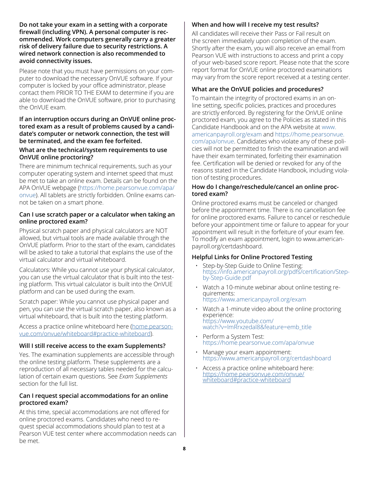<span id="page-10-0"></span>**Do not take your exam in a setting with a corporate firewall (including VPN). A personal computer is recommended. Work computers generally carry a greater risk of delivery failure due to security restrictions. A wired network connection is also recommended to avoid connectivity issues.**

Please note that you must have permissions on your computer to download the necessary OnVUE software. If your computer is locked by your office administrator, please contact them PRIOR TO THE EXAM to determine if you are able to download the OnVUE software, prior to purchasing the OnVUE exam.

#### **If an interruption occurs during an OnVUE online proctored exam as a result of problems caused by a candidate's computer or network connection, the test will be terminated, and the exam fee forfeited.**

#### **What are the technical/system requirements to use OnVUE online proctoring?**

There are minimum technical requirements, such as your computer operating system and internet speed that must be met to take an online exam. Details can be found on the APA OnVUE webpage [\(https://home.pearsonvue.com/apa/](https://home.pearsonvue.com/apa/onvue) [onvue](https://home.pearsonvue.com/apa/onvue)). All tablets are strictly forbidden. Online exams cannot be taken on a smart phone.

#### **Can I use scratch paper or a calculator when taking an online proctored exam?**

Physical scratch paper and physical calculators are NOT allowed, but virtual tools are made available through the OnVUE platform. Prior to the start of the exam, candidates will be asked to take a tutorial that explains the use of the virtual calculator and virtual whiteboard.

Calculators: While you cannot use your physical calculator, you can use the virtual calculator that is built into the testing platform. This virtual calculator is built into the OnVUE platform and can be used during the exam.

Scratch paper: While you cannot use physical paper and pen, you can use the virtual scratch paper, also known as a virtual whiteboard, that is built into the testing platform.

Access a practice online whiteboard here [\(home.pearson](http://home.pearsonvue.com/onvue/whiteboard#practice-whiteboard)[vue.com/onvue/whiteboard#practice-whiteboard\)](http://home.pearsonvue.com/onvue/whiteboard#practice-whiteboard).

#### **Will I still receive access to the exam Supplements?**

Yes. The examination supplements are accessible through the online testing platform. These supplements are a reproduction of all necessary tables needed for the calculation of certain exam questions. See *Exam Supplements* section for the full list.

#### **Can I request special accommodations for an online proctored exam?**

At this time, special accommodations are not offered for online proctored exams. Candidates who need to request special accommodations should plan to test at a Pearson VUE test center where accommodation needs can be met.

#### **When and how will I receive my test results?**

All candidates will receive their Pass or Fail result on the screen immediately upon completion of the exam. Shortly after the exam, you will also receive an email from Pearson VUE with instructions to access and print a copy of your web-based score report. Please note that the score report format for OnVUE online proctored examinations may vary from the score report received at a testing center.

#### **What are the OnVUE policies and procedures?**

To maintain the integrity of proctored exams in an online setting, specific policies, practices and procedures are strictly enforced. By registering for the OnVUE online proctored exam, you agree to the Policies as stated in this Candidate Handbook and on the APA website at [www.](http://www.americanpayroll.org/exam) [americanpayroll.org/exam](http://www.americanpayroll.org/exam) and [https://home.pearsonvue.](https://home.pearsonvue.com/apa/onvue) [com/apa/onvue](https://home.pearsonvue.com/apa/onvue). Candidates who violate any of these policies will not be permitted to finish the examination and will have their exam terminated, forfeiting their examination fee. Certification will be denied or revoked for any of the reasons stated in the Candidate Handbook, including violation of testing procedures.

#### **How do I change/reschedule/cancel an online proctored exam?**

Online proctored exams must be canceled or changed before the appointment time. There is no cancellation fee for online proctored exams. Failure to cancel or reschedule before your appointment time or failure to appear for your appointment will result in the forfeiture of your exam fee. To modify an exam appointment, login to www.americanpayroll.org/certdashboard.

#### **Helpful Links for Online Proctored Testing**

- Step-by-Step Guide to Online Testing: [https://info.americanpayroll.org/pdfs/certification/Step](https://info.americanpayroll.org/pdfs/certification/Step-by-Step-Guide.pdf)[by-Step-Guide.pdf](https://info.americanpayroll.org/pdfs/certification/Step-by-Step-Guide.pdf)
- Watch a 10-minute webinar about online testing requirements: <https://www.americanpayroll.org/exam>
- Watch a 1-minute video about the online proctoring experience: [https://www.youtube.com/](https://www.youtube.com/watch?v=lmRrxzedal8&feature=emb_title) [watch?v=lmRrxzedal8&feature=emb\\_title](https://www.youtube.com/watch?v=lmRrxzedal8&feature=emb_title)
- Perform a System Test: <https://home.pearsonvue.com/apa/onvue>
- Manage your exam appointment: https://[www.americanpayroll.org/certdashboard](http://www.americanpayroll.org/certdashboard)
- Access a practice online whiteboard here: [https://home.pearsonvue.com/onvue/](https://home.pearsonvue.com/onvue/whiteboard#practice-whiteboard) [whiteboard#practice-whiteboard](https://home.pearsonvue.com/onvue/whiteboard#practice-whiteboard)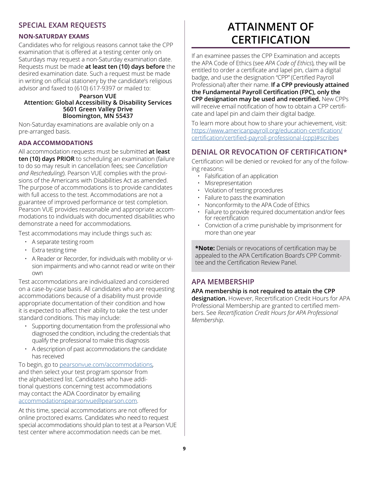#### <span id="page-11-0"></span>**SPECIAL EXAM REQUESTS**

#### **NON-SATURDAY EXAMS**

Candidates who for religious reasons cannot take the CPP examination that is offered at a testing center only on Saturdays may request a non-Saturday examination date. Requests must be made **at least ten (10) days before** the desired examination date. Such a request must be made in writing on official stationery by the candidate's religious advisor and faxed to (610) 617-9397 or mailed to:

#### **Pearson VUE Attention: Global Accessibility & Disability Services 5601 Green Valley Drive Bloomington, MN 55437**

Non-Saturday examinations are available only on a pre-arranged basis.

#### **ADA ACCOMMODATIONS**

All accommodation requests must be submitted **at least ten (10) days PRIOR** to scheduling an examination (failure to do so may result in cancellation fees; see *Cancellation and Rescheduling*). Pearson VUE complies with the provisions of the Americans with Disabilities Act as amended. The purpose of accommodations is to provide candidates with full access to the test. Accommodations are not a guarantee of improved performance or test completion. Pearson VUE provides reasonable and appropriate accommodations to individuals with documented disabilities who demonstrate a need for accommodations.

Test accommodations may include things such as:

- A separate testing room
- Extra testing time
- A Reader or Recorder, for individuals with mobility or vision impairments and who cannot read or write on their own

Test accommodations are individualized and considered on a case-by-case basis. All candidates who are requesting accommodations because of a disability must provide appropriate documentation of their condition and how it is expected to affect their ability to take the test under standard conditions. This may include:

- Supporting documentation from the professional who diagnosed the condition, including the credentials that qualify the professional to make this diagnosis
- A description of past accommodations the candidate has received

To begin, go to [pearsonvue.com/accommodations](http://pearsonvue.com/accommodations)*,*  and then select your test program sponsor from the alphabetized list. Candidates who have additional questions concerning test accommodations may contact the ADA Coordinator by emailing [accommodationspearsonvue@pearson.com](mailto:accommodationspearsonvue%40pearson.com?subject=).

At this time, special accommodations are not offered for online proctored exams. Candidates who need to request special accommodations should plan to test at a Pearson VUE test center where accommodation needs can be met.

### **ATTAINMENT OF CERTIFICATION**

If an examinee passes the CPP Examination and accepts the APA Code of Ethics (see *APA Code of Ethics*), they will be entitled to order a certificate and lapel pin, claim a digital badge, and use the designation "CPP" (Certified Payroll Professional) after their name. **If a CPP previously attained the Fundamental Payroll Certification (FPC), only the CPP designation may be used and recertified.** New CPPs will receive email notification of how to obtain a CPP certificate and lapel pin and claim their digital badge.

To learn more about how to share your achievement, visit: [https://www.americanpayroll.org/education-certification/](https://www.americanpayroll.org/education-certification/certification/certified-payroll-professional-(cpp)#scribes) [certification/certified-payroll-professional-\(cpp\)#scribes](https://www.americanpayroll.org/education-certification/certification/certified-payroll-professional-(cpp)#scribes)

#### **DENIAL OR REVOCATION OF CERTIFICATION\***

Certification will be denied or revoked for any of the following reasons:

- $\cdot$  Falsification of an application
- Misrepresentation
- Violation of testing procedures
- Failure to pass the examination
- Nonconformity to the APA Code of Ethics
- Failure to provide required documentation and/or fees for recertification
- Conviction of a crime punishable by imprisonment for more than one year

**\*Note:** Denials or revocations of certification may be appealed to the APA Certification Board's CPP Committee and the Certification Review Panel.

#### **APA MEMBERSHIP**

**APA membership is not required to attain the CPP designation.** However, Recertification Credit Hours for APA Professional Membership are granted to certified members. See *Recertification Credit Hours for APA Professional Membership*.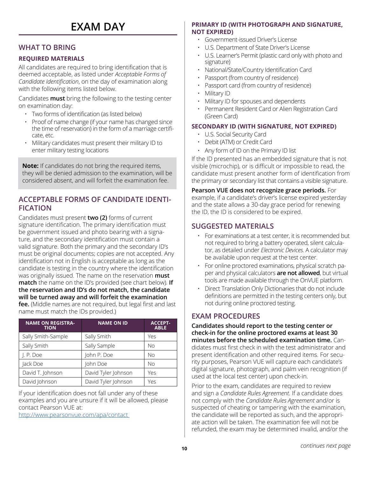### **EXAM DAY**

#### **WHAT TO BRING**

#### **REQUIRED MATERIALS**

All candidates are required to bring identification that is deemed acceptable, as listed under *Acceptable Forms of Candidate Identification*, on the day of examination along with the following items listed below.

Candidates **must** bring the following to the testing center on examination day:

- Two forms of identification (as listed below)
- Proof of name change (if your name has changed since the time of reservation) in the form of a marriage certificate, etc.
- Military candidates must present their military ID to enter military testing locations

**Note:** If candidates do not bring the required items, they will be denied admission to the examination, will be considered absent, and will forfeit the examination fee.

#### **ACCEPTABLE FORMS OF CANDIDATE IDENTI-FICATION**

Candidates must present **two (2)** forms of current signature identification. The primary identification must be government issued and photo bearing with a signature, and the secondary identification must contain a valid signature. Both the primary and the secondary ID's must be original documents; copies are not accepted. Any identification not in English is acceptable as long as the candidate is testing in the country where the identification was originally issued. The name on the reservation **must match** the name on the ID's provided (see chart below)*.* **If the reservation and ID's do not match, the candidate will be turned away and will forfeit the examination fee.** (Middle names are not required, but legal first and last name must match the IDs provided.)

| <b>NAME ON REGISTRA-</b><br><b>TION</b> | <b>NAME ON ID</b>   | <b>ACCEPT-</b><br><b>ABLE</b> |
|-----------------------------------------|---------------------|-------------------------------|
| Sally Smith-Sample                      | Sally Smith         | Yes                           |
| Sally Smith                             | Sally Sample        | <b>No</b>                     |
| I. P. Doe                               | John P. Doe         | <b>No</b>                     |
| Jack Doe                                | John Doe            | <b>No</b>                     |
| David T. Johnson                        | David Tyler Johnson | Yes                           |
| David Johnson                           | David Tyler Johnson | Yes                           |

If your identification does not fall under any of these examples and you are unsure if it will be allowed, please contact Pearson VUE at:

<http://www.pearsonvue.com/apa/contact>

#### **PRIMARY ID (WITH PHOTOGRAPH AND SIGNATURE, NOT EXPIRED)**

- Government-issued Driver's License
- U.S. Department of State Driver's License
- U.S. Learner's Permit (plastic card only with photo and signature)
- National/State/Country Identification Card
- Passport (from country of residence)
- Passport card (from country of residence)
- Military ID
- Military ID for spouses and dependents
- Permanent Resident Card or Alien Registration Card (Green Card)

#### **SECONDARY ID (WITH SIGNATURE, NOT EXPIRED)**

- U.S. Social Security Card
- Debit (ATM) or Credit Card
- Any form of ID on the Primary ID list

If the ID presented has an embedded signature that is not visible (microchip), or is difficult or impossible to read, the candidate must present another form of identification from the primary or secondary list that contains a visible signature.

**Pearson VUE does not recognize grace periods.** For example, if a candidate's driver's license expired yesterday and the state allows a 30-day grace period for renewing the ID, the ID is considered to be expired.

#### **SUGGESTED MATERIALS**

- For examinations at a test center, it is recommended but not required to bring a battery operated, silent calculator, as detailed under *Electronic Devices*. A calculator may be available upon request at the test center.
- For online proctored examinations, physical scratch paper and physical calculators **are not allowed**, but virtual tools are made available through the OnVUE platform.
- Direct Translation Only Dictionaries that do not include definitions are permitted in the testing centers only, but not during online proctored testing.

#### **EXAM PROCEDURES**

**Candidates should report to the testing center or check-in for the online proctored exams at least 30 minutes before the scheduled examination time.** Candidates must first check in with the test administrator and present identification and other required items. For security purposes, Pearson VUE will capture each candidate's digital signature, photograph, and palm vein recognition (if used at the local test center) upon check-in.

Prior to the exam, candidates are required to review and sign a *Candidate Rules Agreement*. If a candidate does not comply with the *Candidate Rules Agreement* and/or is suspected of cheating or tampering with the examination, the candidate will be reported as such, and the appropriate action will be taken. The examination fee will not be refunded, the exam may be determined invalid, and/or the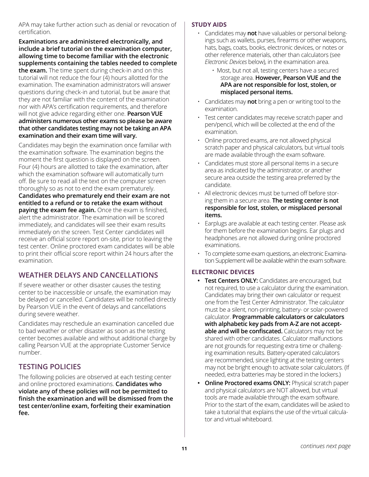<span id="page-13-0"></span>APA may take further action such as denial or revocation of certification.

**Examinations are administered electronically, and include a brief tutorial on the examination computer, allowing time to become familiar with the electronic supplements containing the tables needed to complete the exam.** The time spent during check-in and on this tutorial will not reduce the four (4) hours allotted for the examination. The examination administrators will answer questions during check-in and tutorial, but be aware that they are not familiar with the content of the examination nor with APA's certification requirements, and therefore will not give advice regarding either one. **Pearson VUE administers numerous other exams so please be aware that other candidates testing may not be taking an APA examination and their exam time will vary.**

Candidates may begin the examination once familiar with the examination software. The examination begins the moment the first question is displayed on the screen. Four (4) hours are allotted to take the examination, after which the examination software will automatically turn off. Be sure to read all the text on the computer screen thoroughly so as not to end the exam prematurely. **Candidates who prematurely end their exam are not entitled to a refund or to retake the exam without paying the exam fee again.** Once the exam is finished, alert the administrator. The examination will be scored immediately, and candidates will see their exam results immediately on the screen. Test Center candidates will receive an official score report on-site, prior to leaving the test center. Online proctored exam candidates will be able to print their official score report within 24 hours after the examination.

#### **WEATHER DELAYS AND CANCELLATIONS**

If severe weather or other disaster causes the testing center to be inaccessible or unsafe, the examination may be delayed or cancelled. Candidates will be notified directly by Pearson VUE in the event of delays and cancellations during severe weather.

Candidates may reschedule an examination cancelled due to bad weather or other disaster as soon as the testing center becomes available and without additional charge by calling Pearson VUE at the appropriate Customer Service number.

#### **TESTING POLICIES**

The following policies are observed at each testing center and online proctored examinations. **Candidates who violate any of these policies will not be permitted to finish the examination and will be dismissed from the test center/online exam, forfeiting their examination fee.**

#### **STUDY AIDS**

• Candidates may **not** have valuables or personal belongings such as wallets, purses, firearms or other weapons, hats, bags, coats, books, electronic devices, or notes or other reference materials, other than calculators (see *Electronic Devices* below), in the examination area.

- Most, but not all, testing centers have a secured storage area. **However, Pearson VUE and the APA are not responsible for lost, stolen, or misplaced personal items.**
- Candidates may **not** bring a pen or writing tool to the examination.
- Test center candidates may receive scratch paper and pen/pencil, which will be collected at the end of the examination.
- Online proctored exams, are not allowed physical scratch paper and physical calculators, but virtual tools are made available through the exam software.
- Candidates must store all personal items in a secure area as indicated by the administrator, or another secure area outside the testing area preferred by the candidate.
- All electronic devices must be turned off before storing them in a secure area. **The testing center is not responsible for lost, stolen, or misplaced personal items.**
- Earplugs are available at each testing center. Please ask for them before the examination begins. Ear plugs and headphones are not allowed during online proctored examinations.
- To complete some exam questions, an electronic Examination Supplement will be available within the exam software.

#### **ELECTRONIC DEVICES**

- **• Test Centers ONLY:** Candidates are encouraged, but not required, to use a calculator during the examination. Candidates may bring their own calculator or request one from the Test Center Administrator. The calculator must be a silent, non-printing, battery- or solar-powered calculator. **Programmable calculators or calculators with alphabetic key pads from A-Z are not acceptable and will be confiscated.** Calculators may not be shared with other candidates. Calculator malfunctions are not grounds for requesting extra time or challenging examination results. Battery-operated calculators are recommended, since lighting at the testing centers may not be bright enough to activate solar calculators. (If needed, extra batteries may be stored in the lockers.)
- **• Online Proctored exams ONLY:** Physical scratch paper and physical calculators are NOT allowed, but virtual tools are made available through the exam software. Prior to the start of the exam, candidates will be asked to take a tutorial that explains the use of the virtual calculator and virtual whiteboard.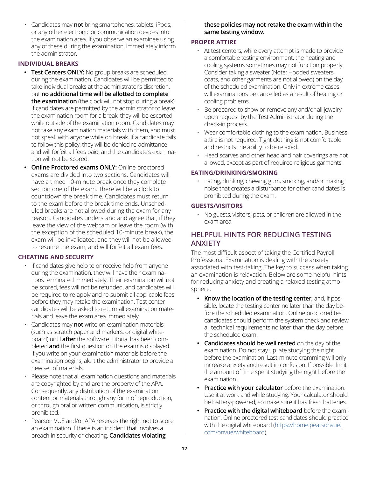<span id="page-14-0"></span>• Candidates may **not** bring smartphones, tablets, iPods, or any other electronic or communication devices into the examination area. If you observe an examinee using any of these during the examination, immediately inform the administrator.

#### **INDIVIDUAL BREAKS**

- **• Test Centers ONLY:** No group breaks are scheduled during the examination. Candidates will be permitted to take individual breaks at the administrator's discretion, but **no additional time will be allotted to complete the examination** (the clock will not stop during a break). If candidates are permitted by the administrator to leave the examination room for a break, they will be escorted while outside of the examination room. Candidates may not take any examination materials with them, and must not speak with anyone while on break. If a candidate fails to follow this policy, they will be denied re-admittance and will forfeit all fees paid, and the candidate's examination will not be scored.
- **• Online Proctored exams ONLY:** Online proctored exams are divided into two sections. Candidates will have a timed 10-minute break once they complete section one of the exam. There will be a clock to countdown the break time. Candidates must return to the exam before the break time ends. Unscheduled breaks are not allowed during the exam for any reason. Candidates understand and agree that, if they leave the view of the webcam or leave the room (with the exception of the scheduled 10-minute break), the exam will be invalidated, and they will not be allowed to resume the exam, and will forfeit all exam fees.

#### **CHEATING AND SECURITY**

- If candidates give help to or receive help from anyone during the examination, they will have their examinations terminated immediately. Their examination will not be scored, fees will not be refunded, and candidates will be required to re-apply and re-submit all applicable fees before they may retake the examination. Test center candidates will be asked to return all examination materials and leave the exam area immediately.
- Candidates may **not** write on examination materials (such as scratch paper and markers, or digital whiteboard) until **after** the software tutorial has been completed **and** the first question on the exam is displayed. If you write on your examination materials before the examination begins, alert the administrator to provide a new set of materials.
- Please note that all examination questions and materials are copyrighted by and are the property of the APA. Consequently, any distribution of the examination content or materials through any form of reproduction, or through oral or written communication, is strictly prohibited.
- Pearson VUE and/or APA reserves the right not to score an examination if there is an incident that involves a breach in security or cheating. **Candidates violating**

#### **these policies may not retake the exam within the same testing window.**

#### **PROPER ATTIRE**

- At test centers, while every attempt is made to provide a comfortable testing environment, the heating and cooling systems sometimes may not function properly. Consider taking a sweater (Note: Hooded sweaters, coats, and other garments are not allowed) on the day of the scheduled examination. Only in extreme cases will examinations be cancelled as a result of heating or cooling problems.
- Be prepared to show or remove any and/or all jewelry upon request by the Test Administrator during the check-in process.
- Wear comfortable clothing to the examination. Business attire is not required. Tight clothing is not comfortable and restricts the ability to be relaxed.
- Head scarves and other head and hair coverings are not allowed, except as part of required religious garments.

#### **EATING/DRINKING/SMOKING**

• Eating, drinking, chewing gum, smoking, and/or making noise that creates a disturbance for other candidates is prohibited during the exam.

#### **GUESTS/VISITORS**

• No guests, visitors, pets, or children are allowed in the exam area.

#### **HELPFUL HINTS FOR REDUCING TESTING ANXIETY**

The most difficult aspect of taking the Certified Payroll Professional Examination is dealing with the anxiety associated with test-taking. The key to success when taking an examination is relaxation. Below are some helpful hints for reducing anxiety and creating a relaxed testing atmosphere.

- **• Know the location of the testing center,** and, if possible, locate the testing center no later than the day before the scheduled examination. Online proctored test candidates should perform the system check and review all technical requirements no later than the day before the scheduled exam.
- **• Candidates should be well rested** on the day of the examination. Do not stay up late studying the night before the examination. Last-minute cramming will only increase anxiety and result in confusion. If possible, limit the amount of time spent studying the night before the examination.
- **• Practice with your calculator** before the examination. Use it at work and while studying. Your calculator should be battery-powered, so make sure it has fresh batteries.
- **• Practice with the digital whiteboard** before the examination. Online proctored test candidates should practice with the digital whiteboard [\(https://home.pearsonvue.](https://home.pearsonvue.com/onvue/whiteboard) [com/onvue/whiteboard](https://home.pearsonvue.com/onvue/whiteboard)).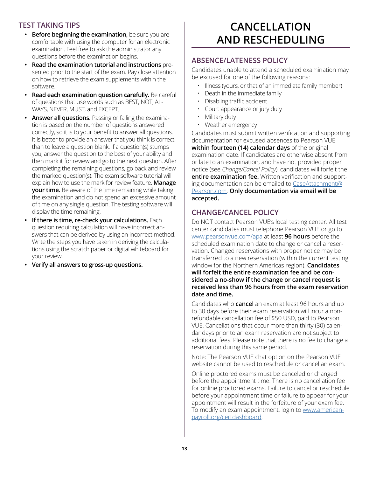#### <span id="page-15-0"></span>**TEST TAKING TIPS**

- **• Before beginning the examination,** be sure you are comfortable with using the computer for an electronic examination. Feel free to ask the administrator any questions before the examination begins.
- **• Read the examination tutorial and instructions** presented prior to the start of the exam. Pay close attention on how to retrieve the exam supplements within the software.
- **• Read each examination question carefully.** Be careful of questions that use words such as BEST, NOT, AL-WAYS, NEVER, MUST, and EXCEPT.
- **• Answer all questions.** Passing or failing the examination is based on the number of questions answered correctly, so it is to your benefit to answer all questions. It is better to provide an answer that you think is correct than to leave a question blank. If a question(s) stumps you, answer the question to the best of your ability and then mark it for review and go to the next question. After completing the remaining questions, go back and review the marked question(s). The exam software tutorial will explain how to use the mark for review feature. **Manage your time.** Be aware of the time remaining while taking the examination and do not spend an excessive amount of time on any single question. The testing software will display the time remaining.
- **• If there is time, re-check your calculations.** Each question requiring calculation will have incorrect answers that can be derived by using an incorrect method. Write the steps you have taken in deriving the calculations using the scratch paper or digital whiteboard for your review.
- **• Verify all answers to gross-up questions.**

### **CANCELLATION AND RESCHEDULING**

#### **ABSENCE/LATENESS POLICY**

Candidates unable to attend a scheduled examination may be excused for one of the following reasons:

- Illness (yours, or that of an immediate family member)
- Death in the immediate family
- Disabling traffic accident
- Court appearance or jury duty
- Military duty
- Weather emergency

Candidates must submit written verification and supporting documentation for excused absences to Pearson VUE **within fourteen (14) calendar days** of the original examination date. If candidates are otherwise absent from or late to an examination, and have not provided proper notice (see *Change/Cancel Policy*), candidates will forfeit the **entire examination fee.** Written verification and support-ing documentation can be emailed to [CaseAttachment@](mailto:CaseAttachment%40Pearson.com?subject=) [Pearson.com](mailto:CaseAttachment%40Pearson.com?subject=). **Only documentation via email will be accepted.**

#### **CHANGE/CANCEL POLICY**

Do NOT contact Pearson VUE's local testing center. All test center candidates must telephone Pearson VUE or go to [www.pearsonvue.com/apa](http://www.pearsonvue.com/apa) at least **96 hours** before the scheduled examination date to change or cancel a reservation. Changed reservations with proper notice may be transferred to a new reservation (within the current testing window for the Northern Americas region). **Candidates will forfeit the entire examination fee and be considered a no-show if the change or cancel request is received less than 96 hours from the exam reservation date and time.**

Candidates who **cancel** an exam at least 96 hours and up to 30 days before their exam reservation will incur a nonrefundable cancellation fee of \$50 USD, paid to Pearson VUE. Cancellations that occur more than thirty (30) calendar days prior to an exam reservation are not subject to additional fees. Please note that there is no fee to change a reservation during this same period.

Note: The Pearson VUE chat option on the Pearson VUE website cannot be used to reschedule or cancel an exam.

Online proctored exams must be canceled or changed before the appointment time. There is no cancellation fee for online proctored exams. Failure to cancel or reschedule before your appointment time or failure to appear for your appointment will result in the forfeiture of your exam fee. To modify an exam appointment, login to [www.american](http://www.americanpayroll.org/certdashboard)[payroll.org/certdashboard.](http://www.americanpayroll.org/certdashboard)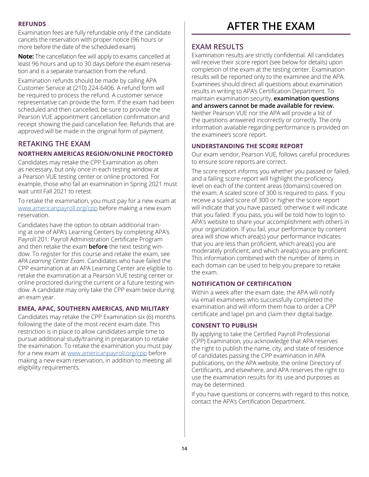#### <span id="page-16-0"></span>**REFUNDS**

Examination fees are fully refundable only if the candidate cancels the reservation with proper notice (96 hours or more before the date of the scheduled exam).

**Note:** The cancellation fee will apply to exams cancelled at least 96 hours and up to 30 days before the exam reservation and is a separate transaction from the refund.

Examination refunds should be made by calling APA Customer Service at (210) 224-6406. A refund form will be required to process the refund. A customer service representative can provide the form. If the exam had been scheduled and then cancelled, be sure to provide the Pearson VUE appointment cancellation confirmation and receipt showing the paid cancellation fee. Refunds that are approved will be made in the original form of payment.

#### **RETAKING THE EXAM**

#### **NORTHERN AMERICAS REGION/ONLINE PROCTORED**

Candidates may retake the CPP Examination as often as necessary, but only once in each testing window at a Pearson VUE testing center or online proctored. For example, those who fail an examination in Spring 2021 must wait until Fall 2021 to retest.

To retake the examination, you must pay for a new exam at [www.americanpayroll.org/cpp](http://www.americanpayroll.org/cpp) before making a new exam reservation.

Candidates have the option to obtain additional training at one of APA's Learning Centers by completing APA's Payroll 201: Payroll Administration Certificate Program and then retake the exam **before** the next testing window. To register for this course and retake the exam, see *APA Learning Center Exam*. Candidates who have failed the CPP examination at an APA Learning Center are eligible to retake the examination at a Pearson VUE testing center or online proctored during the current or a future testing window. A candidate may only take the CPP exam twice during an exam year.

#### **EMEA, APAC, SOUTHERN AMERICAS, AND MILITARY**

Candidates may retake the CPP Examination six (6) months following the date of the most recent exam date. This restriction is in place to allow candidates ample time to pursue additional study/training in preparation to retake the examination. To retake the examination you must pay for a new exam at [www.americanpayroll.org/cpp](http://www.americanpayroll.org/cpp) before making a new exam reservation, in addition to meeting all eligibility requirements.

### **AFTER THE EXAM**

#### **EXAM RESULTS**

Examination results are strictly confidential. All candidates will receive their score report (see below for details) upon completion of the exam at the testing center. Examination results will be reported only to the examinee and the APA. Examinees should direct all questions about examination results in writing to APA's Certification Department. To maintain examination security, **examination questions and answers cannot be made available for review.** Neither Pearson VUE nor the APA will provide a list of the questions answered incorrectly or correctly. The only information available regarding performance is provided on the examinee's score report.

#### **UNDERSTANDING THE SCORE REPORT**

Our exam vendor, Pearson VUE, follows careful procedures to ensure score reports are correct.

The score report informs you whether you passed or failed, and a failing score report will highlight the proficiency level on each of the content areas (domains) covered on the exam. A scaled score of 300 is required to pass. If you receive a scaled score of 300 or higher the score report will indicate that you have passed; otherwise it will indicate that you failed. If you pass, you will be told how to login to APA's website to share your accomplishment with others in your organization. If you fail, your performance by content area will show which area(s) your performance indicates that you are less than proficient, which area(s) you are moderately proficient, and which area(s) you are proficient. This information combined with the number of items in each domain can be used to help you prepare to retake the exam.

#### **NOTIFICATION OF CERTIFICATION**

Within a week after the exam date, the APA will notify via email examinees who successfully completed the examination and will inform them how to order a CPP certificate and lapel pin and claim their digital badge.

#### **CONSENT TO PUBLISH**

By applying to take the Certified Payroll Professional (CPP) Examination, you acknowledge that APA reserves the right to publish the name, city, and state of residence of candidates passing the CPP examination in APA publications, on the APA website, the online Directory of Certificants, and elsewhere, and APA reserves the right to use the examination results for its use and purposes as may be determined.

If you have questions or concerns with regard to this notice, contact the APA's Certification Department.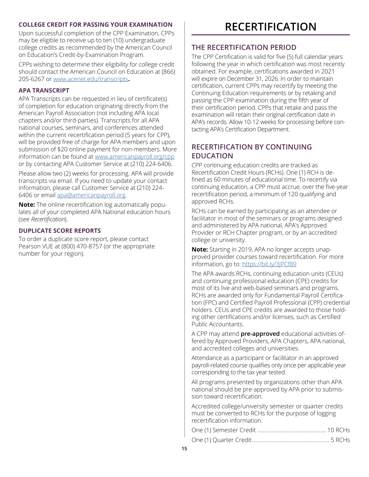#### <span id="page-17-0"></span>**COLLEGE CREDIT FOR PASSING YOUR EXAMINATION**

Upon successful completion of the CPP Examination, CPPs may be eligible to receive up to ten (10) undergraduate college credits as recommended by the American Council on Education's Credit-by-Examination Program.

CPPs wishing to determine their eligibility for college credit should contact the American Council on Education at (866) 205-6267 or [www.acenet.edu/transcripts](http://www.acenet.edu/transcripts)**.**

#### **APA TRANSCRIPT**

APA Transcripts can be requested in lieu of certificate(s) of completion for education originating directly from the American Payroll Association (not including APA local chapters and/or third-parties). Transcripts for all APA national courses, seminars, and conferences attended within the current recertification period (5 years for CPP), will be provided free of charge for APA members and upon submission of \$20 online payment for non-members. More information can be found at [www.americanpayroll.org/cpp](http://www.americanpayroll.org/cpp) or by contacting APA Customer Service at (210) 224-6406.

Please allow two (2) weeks for processing. APA will provide transcripts via email. If you need to update your contact information, please call Customer Service at (210) 224- 6406 or email [apa@americanpayroll.org](mailto:apa%40americanpayroll.org?subject=).

**Note:** The online recertification log automatically populates all of your completed APA National education hours (see *Recertification*).

#### **DUPLICATE SCORE REPORTS**

To order a duplicate score report, please contact Pearson VUE at (800) 470-8757 (or the appropriate number for your region).

### **RECERTIFICATION**

#### **THE RECERTIFICATION PERIOD**

The CPP Certification is valid for five (5) full calendar years following the year in which certification was most recently obtained. For example, certifications awarded in 2021 will expire on December 31, 2026. In order to maintain certification, current CPPs may recertify by meeting the Continuing Education requirements or by retaking and passing the CPP examination during the fifth year of their certification period. CPPs that retake and pass the examination will retain their original certification date in APA's records. Allow 10-12 weeks for processing before contacting APA's Certification Department.

#### **RECERTIFICATION BY CONTINUING EDUCATION**

CPP continuing education credits are tracked as Recertification Credit Hours (RCHs). One (1) RCH is defined as 60 minutes of educational time. To recertify via continuing education, a CPP must accrue, over the five-year recertification period, a minimum of 120 qualifying and approved RCHs.

RCHs can be earned by participating as an attendee or facilitator in most of the seminars or programs designed and administered by APA national, APA's Approved Provider or RCH Chapter program, or by an accredited college or university.

**Note:** Starting in 2019, APA no longer accepts unapproved provider courses toward recertification. For more information, go to:<https://bit.ly/3JPCf89>

The APA awards RCHs, continuing education units (CEUs) and continuing professional education (CPE) credits for most of its live and web-based seminars and programs. RCHs are awarded only for Fundamental Payroll Certification (FPC) and Certified Payroll Professional (CPP) credential holders. CEUs and CPE credits are awarded to those holding other certifications and/or licenses, such as Certified Public Accountants.

A CPP may attend **pre-approved** educational activities offered by Approved Providers, APA Chapters, APA national, and accredited colleges and universities.

Attendance as a participant or facilitator in an approved payroll-related course qualifies only once per applicable year corresponding to the tax year tested.

All programs presented by organizations other than APA national should be pre-approved by APA prior to submission toward recertification.

Accredited college/university semester or quarter credits must be converted to RCHs for the purpose of logging recertification information.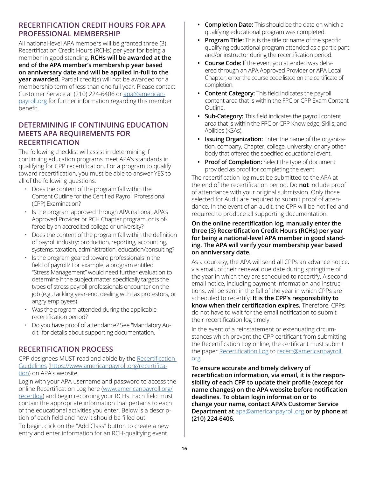#### **RECERTIFICATION CREDIT HOURS FOR APA PROFESSIONAL MEMBERSHIP**

All national-level APA members will be granted three (3) Recertification Credit Hours (RCHs) per year for being a member in good standing. **RCHs will be awarded at the end of the APA member's membership year based on anniversary date and will be applied in-full to the year awarded.** Partial credit(s) will not be awarded for a membership term of less than one full year. Please contact Customer Service at (210) 224-6406 or [apa@american](mailto:apa%40americanpayroll.org?subject=)[payroll.org](mailto:apa%40americanpayroll.org?subject=) for further information regarding this member benefit.

#### **DETERMINING IF CONTINUING EDUCATION MEETS APA REQUIREMENTS FOR RECERTIFICATION**

The following checklist will assist in determining if continuing education programs meet APA's standards in qualifying for CPP recertification. For a program to qualify toward recertification, you must be able to answer YES to all of the following questions:

- Does the content of the program fall within the Content Outline for the Certified Payroll Professional (CPP) Examination?
- Is the program approved through APA national, APA's Approved Provider or RCH Chapter program, or is offered by an accredited college or university?
- Does the content of the program fall within the definition of payroll industry: production, reporting, accounting, systems, taxation, administration, education/consulting?
- Is the program geared toward professionals in the field of payroll? For example, a program entitled "Stress Management" would need further evaluation to determine if the subject matter specifically targets the types of stress payroll professionals encounter on the job (e.g., tackling year-end, dealing with tax protestors, or angry employees)
- Was the program attended during the applicable recertification period?
- Do you have proof of attendance? See "Mandatory Audit" for details about supporting documentation.

#### **RECERTIFICATION PROCESS**

CPP designees MUST read and abide by the [Recertification](https://www.americanpayroll.org/education-certification/recertification/recertification-guidelines)  [Guidelines](https://www.americanpayroll.org/education-certification/recertification/recertification-guidelines) ([https://www.americanpayroll.org/recertifica](https://www.americanpayroll.org/recertification)[tion](https://www.americanpayroll.org/recertification)) on APA's website.

Login with your APA username and password to access the online Recertification Log here ([www.americanpayroll.org/](http://www.americanpayroll.org/recertlog) [recertlog](http://www.americanpayroll.org/recertlog)) and begin recording your RCHs. Each field must contain the appropriate information that pertains to each of the educational activities you enter. Below is a description of each field and how it should be filled out: To begin, click on the "Add Class" button to create a new entry and enter information for an RCH-qualifying event.

- **• Completion Date:** This should be the date on which a qualifying educational program was completed.
- **• Program Title:** This is the title or name of the specific qualifying educational program attended as a participant and/or instructor during the recertification period.
- **• Course Code:** If the event you attended was delivered through an APA Approved Provider or APA Local Chapter, enter the course code listed on the certificate of completion.
- **• Content Category:** This field indicates the payroll content area that is within the FPC or CPP Exam Content Outline.
- **• Sub-Category:** This field indicates the payroll content area that is within the FPC or CPP Knowledge, Skills, and Abilities (KSAs).
- **• Issuing Organization:** Enter the name of the organization, company, Chapter, college, university, or any other body that offered the specified educational event.
- **• Proof of Completion:** Select the type of document provided as proof for completing the event.

The recertification log must be submitted to the APA at the end of the recertification period. Do **not** include proof of attendance with your original submission. Only those selected for Audit are required to submit proof of attendance. In the event of an audit, the CPP will be notified and required to produce all supporting documentation.

#### **On the online recertification log, manually enter the three (3) Recertification Credit Hours (RCHs) per year for being a national-level APA member in good standing. The APA will verify your membership year based on anniversary date.**

As a courtesy, the APA will send all CPPs an advance notice, via email, of their renewal due date during springtime of the year in which they are scheduled to recertify. A second email notice, including payment information and instructions, will be sent in the fall of the year in which CPPs are scheduled to recertify. **It is the CPP's responsibility to know when their certification expires.** Therefore, CPPs do not have to wait for the email notification to submit their recertification log timely.

In the event of a reinstatement or extenuating circumstances which prevent the CPP certificant from submitting the Recertification Log online, the certificant must submit the paper [Recertification Log](http://info.americanpayroll.org/pdfs/certification/CPP-log.pdf) to [recert@americanpayroll.](http://recert@americanpayroll.org) [org.](http://recert@americanpayroll.org)

**To ensure accurate and timely delivery of recertification information, via email, it is the responsibility of each CPP to update their profile (except for name changes) on the APA website before notification deadlines. To obtain login information or to change your name, contact APA's Customer Service Department at** [apa@americanpayroll.org](mailto:apa%40americanpayroll.org?subject=) **or by phone at (210) 224-6406.**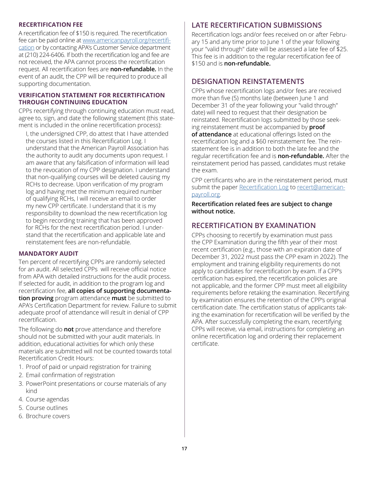#### **RECERTIFICATION FEE**

A recertification fee of \$150 is required. The recertification fee can be paid online at [www.americanpayroll.org/recertifi](http://www.americanpayroll.org/recertification)[cation](http://www.americanpayroll.org/recertification) or by contacting APA's Customer Service department at (210) 224-6406. If both the recertification log and fee are not received, the APA cannot process the recertification request. All recertification fees are **non-refundable.** In the event of an audit, the CPP will be required to produce all supporting documentation.

#### **VERIFICATION STATEMENT FOR RECERTIFICATION THROUGH CONTINUING EDUCATION**

CPPs recertifying through continuing education must read, agree to, sign, and date the following statement (this statement is included in the online recertification process):

I, the undersigned CPP, do attest that I have attended the courses listed in this Recertification Log. I understand that the American Payroll Association has the authority to audit any documents upon request. I am aware that any falsification of information will lead to the revocation of my CPP designation. I understand that non-qualifying courses will be deleted causing my RCHs to decrease. Upon verification of my program log and having met the minimum required number of qualifying RCHs, I will receive an email to order my new CPP certificate. I understand that it is my responsibility to download the new recertification log to begin recording training that has been approved for RCHs for the next recertification period. I understand that the recertification and applicable late and reinstatement fees are non-refundable.

#### **MANDATORY AUDIT**

Ten percent of recertifying CPPs are randomly selected for an audit. All selected CPPs will receive official notice from APA with detailed instructions for the audit process. If selected for audit, in addition to the program log and recertification fee, **all copies of supporting documentation proving** program attendance **must** be submitted to APA's Certification Department for review. Failure to submit adequate proof of attendance will result in denial of CPP recertification.

The following do **not** prove attendance and therefore should not be submitted with your audit materials. In addition, educational activities for which only these materials are submitted will not be counted towards total Recertification Credit Hours:

- 1. Proof of paid or unpaid registration for training
- 2. Email confirmation of registration
- 3. PowerPoint presentations or course materials of any kind
- 4. Course agendas
- 5. Course outlines
- 6. Brochure covers

#### **LATE RECERTIFICATION SUBMISSIONS**

Recertification logs and/or fees received on or after February 15 and any time prior to June 1 of the year following your "valid through" date will be assessed a late fee of \$25. This fee is in addition to the regular recertification fee of \$150 and is **non-refundable.**

#### **DESIGNATION REINSTATEMENTS**

CPPs whose recertification logs and/or fees are received more than five (5) months late (between June 1 and December 31 of the year following your "valid through" date) will need to request that their designation be reinstated. Recertification logs submitted by those seeking reinstatement must be accompanied by **proof of attendance** at educational offerings listed on the recertification log and a \$60 reinstatement fee. The reinstatement fee is in addition to both the late fee and the regular recertification fee and is **non-refundable.** After the reinstatement period has passed, candidates must retake the exam.

CPP certificants who are in the reinstatement period, must submit the paper [Recertification Log](http://info.americanpayroll.org/pdfs/certification/CPP-log.pdf) to [recert@american](mailto:recert%40americanpayroll.org?subject=)[payroll.org.](mailto:recert%40americanpayroll.org?subject=)

**Recertification related fees are subject to change without notice.**

#### **RECERTIFICATION BY EXAMINATION**

CPPs choosing to recertify by examination must pass the CPP Examination during the fifth year of their most recent certification (e.g., those with an expiration date of December 31, 2022 must pass the CPP exam in 2022). The employment and training eligibility requirements do not apply to candidates for recertification by exam. If a CPP's certification has expired, the recertification policies are not applicable, and the former CPP must meet all eligibility requirements before retaking the examination. Recertifying by examination ensures the retention of the CPP's original certification date. The certification status of applicants taking the examination for recertification will be verified by the APA. After successfully completing the exam, recertifying CPPs will receive, via email, instructions for completing an online recertification log and ordering their replacement certificate.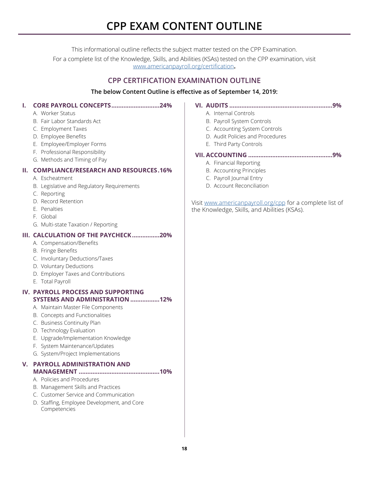### **CPP EXAM CONTENT OUTLINE**

This informational outline reflects the subject matter tested on the CPP Examination.

<span id="page-20-0"></span>For a complete list of the Knowledge, Skills, and Abilities (KSAs) tested on the CPP examination, visit [www.americanpayroll.org/certification](http://www.americanpayroll.org/certification)**.**

#### **CPP CERTIFICATION EXAMINATION OUTLINE**

#### **The below Content Outline is effective as of September 14, 2019:**

#### **I. CORE PAYROLL CONCEPTS............................24%**

- A. Worker Status
- B. Fair Labor Standards Act
- C. Employment Taxes
- D. Employee Benefits
- E. Employee/Employer Forms
- F. Professional Responsibility
- G. Methods and Timing of Pay

#### **II. COMPLIANCE/RESEARCH AND RESOURCES.16%**

- A. Escheatment
- B. Legislative and Regulatory Requirements
- C. Reporting
- D. Record Retention
- E. Penalties
- F. Global
- G. Multi-state Taxation / Reporting

**III. CALCULATION OF THE PAYCHECK................20%**

- A. Compensation/Benefits
- B. Fringe Benefits
- C. Involuntary Deductions/Taxes
- D. Voluntary Deductions
- D. Employer Taxes and Contributions
- E. Total Payroll
- **IV. PAYROLL PROCESS AND SUPPORTING SYSTEMS AND ADMINISTRATION .................12%**
	- A. Maintain Master File Components
	- B. Concepts and Functionalities
	- C. Business Continuity Plan
	- D. Technology Evaluation
	- E. Upgrade/Implementation Knowledge
	- F. System Maintenance/Updates
	- G. System/Project Implementations

#### **V. PAYROLL ADMINISTRATION AND MANAGEMENT ...............................................10%**

- A. Policies and Procedures
- B. Management Skills and Practices
- C. Customer Service and Communication
- D. Staffing, Employee Development, and Core Competencies

#### **VI. AUDITS ............................................................9%**

- A. Internal Controls
- B. Payroll System Controls
- C. Accounting System Controls
- D. Audit Policies and Procedures
- E. Third Party Controls

#### **VII. ACCOUNTING .................................................9%**

- A. Financial Reporting
- B. Accounting Principles
- C. Payroll Journal Entry
- D. Account Reconciliation

Visit [www.americanpayroll.org/cpp](http://www.americanpayroll.org/cpp) for a complete list of the Knowledge, Skills, and Abilities (KSAs).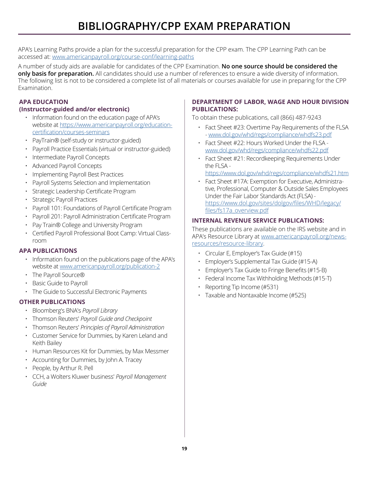<span id="page-21-0"></span>APA's Learning Paths provide a plan for the successful preparation for the CPP exam. The CPP Learning Path can be accessed at: [www.americanpayroll.org/course-conf/learning-paths](http://www.americanpayroll.org/course-conf/learning-paths)

A number of study aids are available for candidates of the CPP Examination. **No one source should be considered the only basis for preparation.** All candidates should use a number of references to ensure a wide diversity of information. The following list is not to be considered a complete list of all materials or courses available for use in preparing for the CPP Examination.

#### **APA EDUCATION**

- **(Instructor-guided and/or electronic)**
	- Information found on the education page of APA's website at [https://www.americanpayroll.org/education](https://www.americanpayroll.org/education-certification/courses-seminars)[certification/courses-seminars](https://www.americanpayroll.org/education-certification/courses-seminars)
	- PayTrain® (self-study or instructor-guided)
	- Payroll Practice Essentials (virtual or instructor-guided)
	- Intermediate Payroll Concepts
	- Advanced Payroll Concepts
	- Implementing Payroll Best Practices
	- Payroll Systems Selection and Implementation
	- Strategic Leadership Certificate Program
	- Strategic Payroll Practices
	- Payroll 101: Foundations of Payroll Certificate Program
	- Payroll 201: Payroll Administration Certificate Program
	- Pay Train® College and University Program
	- Certified Payroll Professional Boot Camp: Virtual Classroom

#### **APA PUBLICATIONS**

- Information found on the publications page of the APA's website at [www.americanpayroll.org/publication-2](http://www.americanpayroll.org/publication-2)
- The Payroll Source®
- Basic Guide to Payroll
- The Guide to Successful Electronic Payments

#### **OTHER PUBLICATIONS**

- Bloomberg's BNA's *Payroll Library*
- Thomson Reuters' *Payroll Guide and Checkpoint*
- Thomson Reuters' *Principles of Payroll Administration*
- Customer Service for Dummies, by Karen Leland and Keith Bailey
- Human Resources Kit for Dummies, by Max Messmer
- Accounting for Dummies, by John A. Tracey
- People, by Arthur R. Pell
- CCH, a Wolters Kluwer business' *Payroll Management Guide*

#### **DEPARTMENT OF LABOR, WAGE AND HOUR DIVISION PUBLICATIONS:**

To obtain these publications, call (866) 487-9243

- Fact Sheet #23: Overtime Pay Requirements of the FLSA - [www.dol.gov/whd/regs/compliance/whdfs23.pdf](http://www.dol.gov/whd/regs/compliance/whdfs23.pdf)
- Fact Sheet #22: Hours Worked Under the FLSA [www.dol.gov/whd/regs/compliance/whdfs22.pdf](http://www.dol.gov/whd/regs/compliance/whdfs22.pdf)
- Fact Sheet #21: Recordkeeping Requirements Under the FLSA -

<https://www.dol.gov/whd/regs/compliance/whdfs21.htm>

• Fact Sheet #17A: Exemption for Executive, Administrative, Professional, Computer & Outside Sales Employees Under the Fair Labor Standards Act (FLSA) [https://www.dol.gov/sites/dolgov/files/WHD/legacy/](https://www.dol.gov/sites/dolgov/files/WHD/legacy/files/fs17a_overview.pdf) [files/fs17a\\_overview.pdf](https://www.dol.gov/sites/dolgov/files/WHD/legacy/files/fs17a_overview.pdf)

#### **INTERNAL REVENUE SERVICE PUBLICATIONS:**

These publications are available on the IRS website and in APA's Resource Library at [www.americanpayroll.org/news](http://www.americanpayroll.org/news-resources/resource-library)[resources/resource-library.](http://www.americanpayroll.org/news-resources/resource-library)

- Circular E, Employer's Tax Guide (#15)
- Employer's Supplemental Tax Guide (#15-A)
- Employer's Tax Guide to Fringe Benefits (#15-B)
- Federal Income Tax Withholding Methods (#15-T)
- Reporting Tip Income (#531)
- Taxable and Nontaxable Income (#525)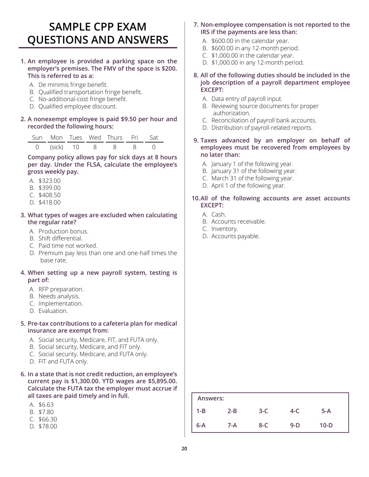### <span id="page-22-0"></span>**SAMPLE CPP EXAM QUESTIONS AND ANSWERS**

#### **1. An employee is provided a parking space on the employer's premises. The FMV of the space is \$200. This is referred to as a:**

- A. De minimis fringe benefit.
- B. Qualified transportation fringe benefit.
- C. No-additional-cost fringe benefit.
- D. Qualified employee discount.

#### **2. A nonexempt employee is paid \$9.50 per hour and recorded the following hours:**

|  |  | Sun Mon Tues Wed Thurs Fri Sat |  |
|--|--|--------------------------------|--|
|  |  | 0 (sick) 10 8 8 8 0            |  |

**Company policy allows pay for sick days at 8 hours per day. Under the FLSA, calculate the employee's gross weekly pay.**

- A. \$323.00
- B. \$399.00
- C. \$408.50
- D. \$418.00

#### **3. What types of wages are excluded when calculating the regular rate?**

- A. Production bonus.
- B. Shift differential.
- C. Paid time not worked.
- D. Premium pay less than one and one-half times the base rate.

#### **4. When setting up a new payroll system, testing is part of:**

- A. RFP preparation.
- B. Needs analysis.
- C. Implementation.
- D. Evaluation.

#### **5. Pre-tax contributions to a cafeteria plan for medical insurance are exempt from:**

- A. Social security, Medicare, FIT, and FUTA only.
- B. Social security, Medicare, and FIT only.
- C. Social security, Medicare, and FUTA only.
- D. FIT and FUTA only.
- **6. In a state that is not credit reduction, an employee's current pay is \$1,300.00. YTD wages are \$5,895.00. Calculate the FUTA tax the employer must accrue if all taxes are paid timely and in full.**
	- A. \$6.63
	- B. \$7.80
	- C. \$66.30
	- D. \$78.00
- **7. Non-employee compensation is not reported to the IRS if the payments are less than:**
	- A. \$600.00 in the calendar year.
	- B. \$600.00 in any 12-month period.
	- C. \$1,000.00 in the calendar year.
	- D. \$1,000.00 in any 12-month period.
- **8. All of the following duties should be included in the job description of a payroll department employee EXCEPT:**
	- A. Data entry of payroll input.
	- B. Reviewing source documents for proper authorization.
	- C. Reconciliation of payroll bank accounts.
	- D. Distribution of payroll-related reports.
- **9. Taxes advanced by an employer on behalf of employees must be recovered from employees by no later than:**
	- A. January 1 of the following year.
	- B. January 31 of the following year.
	- C. March 31 of the following year.
	- D. April 1 of the following year.

#### **10.All of the following accounts are asset accounts EXCEPT:**

- A. Cash.
- B. Accounts receivable.
- C. Inventory.
- D. Accounts payable.

| Answers: |         |         |       |        |
|----------|---------|---------|-------|--------|
| $1 - B$  | $2 - B$ | $3-C$   | 4-C   | $5-A$  |
| $6-A$    | $7-A$   | $8 - C$ | $9-D$ | $10-D$ |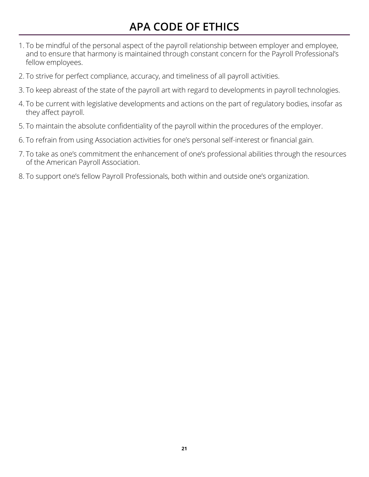### **APA CODE OF ETHICS**

- <span id="page-23-0"></span>1. To be mindful of the personal aspect of the payroll relationship between employer and employee, and to ensure that harmony is maintained through constant concern for the Payroll Professional's fellow employees.
- 2. To strive for perfect compliance, accuracy, and timeliness of all payroll activities.
- 3. To keep abreast of the state of the payroll art with regard to developments in payroll technologies.
- 4. To be current with legislative developments and actions on the part of regulatory bodies, insofar as they affect payroll.
- 5. To maintain the absolute confidentiality of the payroll within the procedures of the employer.
- 6. To refrain from using Association activities for one's personal self-interest or financial gain.
- 7. To take as one's commitment the enhancement of one's professional abilities through the resources of the American Payroll Association.
- 8. To support one's fellow Payroll Professionals, both within and outside one's organization.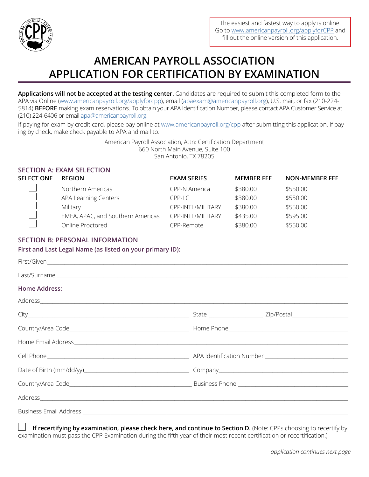<span id="page-24-0"></span>

### **AMERICAN PAYROLL ASSOCIATION APPLICATION FOR CERTIFICATION BY EXAMINATION**

**Applications will not be accepted at the testing center.** Candidates are required to submit this completed form to the APA via Online [\(www.americanpayroll.org/applyforcpp\)](http://www.americanpayroll.org/applyforcpp), email ([apaexam@americanpayroll.org](mailto:apaexam%40americanpayroll.org?subject=)), U.S. mail, or fax (210-224-5814) **BEFORE** making exam reservations. To obtain your APA Identification Number, please contact APA Customer Service at (210) 224-6406 or email [apa@americanpayroll.org](mailto:apa%40americanpayroll.org?subject=).

If paying for exam by credit card, please pay online at [www.americanpayroll.org/cpp](http://www.americanpayroll.org/cpp) after submitting this application. If paying by check, make check payable to APA and mail to:

> American Payroll Association, Attn: Certification Department 660 North Main Avenue, Suite 100 San Antonio, TX 78205

|            | <b>SECTION A: EXAM SELECTION</b>  |                    |                   |                       |
|------------|-----------------------------------|--------------------|-------------------|-----------------------|
| SELECT ONE | <b>REGION</b>                     | <b>EXAM SERIES</b> | <b>MEMBER FEE</b> | <b>NON-MEMBER FEE</b> |
|            | Northern Americas                 | CPP-N America      | \$380.00          | \$550.00              |
|            | APA Learning Centers              | $CPP-I$            | \$380.00          | \$550.00              |
|            | Military                          | CPP-INTL/MILITARY  | \$380.00          | \$550.00              |
|            | EMEA, APAC, and Southern Americas | CPP-INTL/MILITARY  | \$435.00          | \$595.00              |
|            | Online Proctored                  | CPP-Remote         | \$380.00          | \$550.00              |

#### **SECTION B: PERSONAL INFORMATION**

**First and Last Legal Name (as listed on your primary ID):**

| <b>Home Address:</b> |  |
|----------------------|--|
|                      |  |
|                      |  |
|                      |  |
|                      |  |
|                      |  |
|                      |  |
|                      |  |
|                      |  |
|                      |  |

**If recertifying by examination, please check here, and continue to Section D.** (Note: CPPs choosing to recertify by examination must pass the CPP Examination during the fifth year of their most recent certification or recertification.)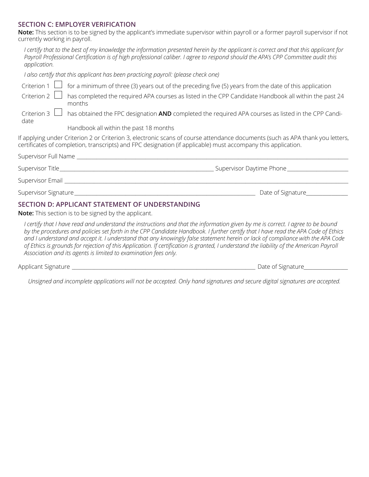#### **SECTION C: EMPLOYER VERIFICATION**

**Note:** This section is to be signed by the applicant's immediate supervisor within payroll or a former payroll supervisor if not currently working in payroll.

*I certify that to the best of my knowledge the information presented herein by the applicant is correct and that this applicant for Payroll Professional Certification is of high professional caliber. I agree to respond should the APA's CPP Committee audit this application.*

*I also certify that this applicant has been practicing payroll: (please check one)*

|                                  | Criterion 1 $\Box$ for a minimum of three (3) years out of the preceding five (5) years from the date of this application                                                                                                                      |
|----------------------------------|------------------------------------------------------------------------------------------------------------------------------------------------------------------------------------------------------------------------------------------------|
| Criterion $2 \Box$               | has completed the required APA courses as listed in the CPP Candidate Handbook all within the past 24<br>months                                                                                                                                |
| Criterion $3$<br>date            | has obtained the FPC designation AND completed the required APA courses as listed in the CPP Candi-                                                                                                                                            |
|                                  | Handbook all within the past 18 months                                                                                                                                                                                                         |
|                                  | If applying under Criterion 2 or Criterion 3, electronic scans of course attendance documents (such as APA thank you letters,<br>certificates of completion, transcripts) and FPC designation (if applicable) must accompany this application. |
|                                  | Supervisor Full Name ______________                                                                                                                                                                                                            |
|                                  |                                                                                                                                                                                                                                                |
| Supervisor Email ___________     |                                                                                                                                                                                                                                                |
| Supervisor Signature____________ | Date of Signature                                                                                                                                                                                                                              |
|                                  | <b>SECTION D: APPLICANT STATEMENT OF UNDERSTANDING</b>                                                                                                                                                                                         |

**Note:** This section is to be signed by the applicant.

*I certify that I have read and understand the instructions and that the information given by me is correct. I agree to be bound by the procedures and policies set forth in the CPP Candidate Handbook. I further certify that I have read the APA Code of Ethics and I understand and accept it. I understand that any knowingly false statement herein or lack of compliance with the APA Code of Ethics is grounds for rejection of this Application. If certification is granted, I understand the liability of the American Payroll Association and its agents is limited to examination fees only.*

Applicant Signature **and the set of Signature** and the set of Signature and the set of Signature and the set of Signature

*Unsigned and incomplete applications will not be accepted. Only hand signatures and secure digital signatures are accepted.*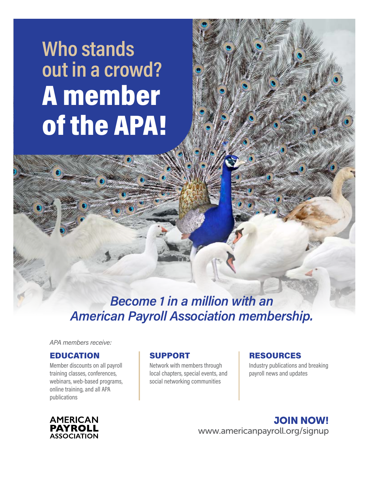# **Who stands out in a crowd?** A member of the APA!

*Become 1 in a million with an American Payroll Association membership.*

*APA members receive:*

#### EDUCATION

Member discounts on all payroll training classes, conferences, webinars, web-based programs, online training, and all APA publications

#### SUPPORT

Network with members through local chapters, special events, and social networking communities

#### RESOURCES

Industry publications and breaking payroll news and updates



JOIN NOW! [www.americanpayroll.org/signup](http://www.americanpayroll.org/members)